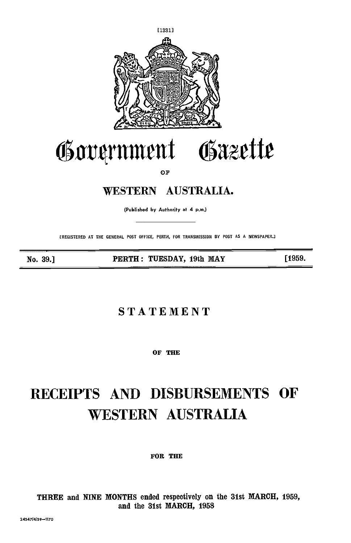

## Government Gazette

OF

## WESTERN AUSTRALIA.

(Published by Authority at 4 p.m.)

(REGISTERED AT THE GENERAL POST OFFICE, PERTH, FOR TRANSMISSION BY POST AS A NEWSPAPER.2

No. 39.] PERTH: TUESDAY, 19th MAY [1959.

### STATEMENT

OF THE

# RECEIPTS AND DISBURSEMENTS OF WESTERN AUSTRALIA

FOR THE

THREE and NINE MONTHS ended respectively on the 31st MARCH, 1959, and the 31st MARCH, 1958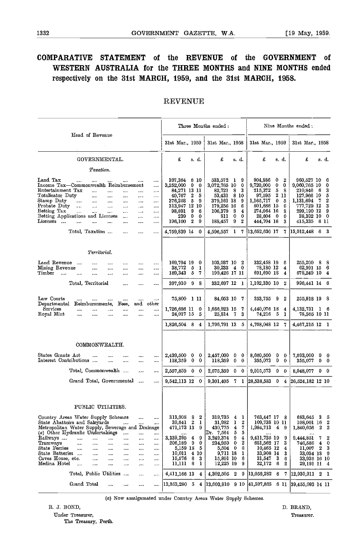#### COMPARATIVE STATEMENT of the REVENUE of the GOVERNMENT of WESTERN AUSTRALIA for the THREE MONTHS and NINE MONTHS ended respectively on the 31st MARCH, 1959, and the 31st MARCH, 1958.

#### REVENUE

|                                                                                                                                                                                                                                                                                                                                                                                                                                                                                                                                                                             | Three Months ended:                                                                                                                                                                                       |                                                                                                                                                                                                                            | Nine Months ended :                                                                                                                                                                                                                |                                                                                                                                                                                                                          |  |
|-----------------------------------------------------------------------------------------------------------------------------------------------------------------------------------------------------------------------------------------------------------------------------------------------------------------------------------------------------------------------------------------------------------------------------------------------------------------------------------------------------------------------------------------------------------------------------|-----------------------------------------------------------------------------------------------------------------------------------------------------------------------------------------------------------|----------------------------------------------------------------------------------------------------------------------------------------------------------------------------------------------------------------------------|------------------------------------------------------------------------------------------------------------------------------------------------------------------------------------------------------------------------------------|--------------------------------------------------------------------------------------------------------------------------------------------------------------------------------------------------------------------------|--|
| Head of Revenue                                                                                                                                                                                                                                                                                                                                                                                                                                                                                                                                                             | 31st Mar., 1959                                                                                                                                                                                           | 31st Mar., 1958                                                                                                                                                                                                            | 31st Mar., 1959                                                                                                                                                                                                                    | 31st Mar., 1958                                                                                                                                                                                                          |  |
| GOVERNMENTAL.                                                                                                                                                                                                                                                                                                                                                                                                                                                                                                                                                               | £<br>s. d.                                                                                                                                                                                                | £<br>s. d.                                                                                                                                                                                                                 | £<br>s. d.                                                                                                                                                                                                                         | £<br>s. d.                                                                                                                                                                                                               |  |
| Taxation.                                                                                                                                                                                                                                                                                                                                                                                                                                                                                                                                                                   |                                                                                                                                                                                                           |                                                                                                                                                                                                                            |                                                                                                                                                                                                                                    |                                                                                                                                                                                                                          |  |
| Land Tax<br>$\cdots$<br><br>$\cdots$<br>Income Tax-Commonwealth Reimbursement<br><br>Entertainment Tax<br><br><br><br>Totalisator Duty<br><br><br><br><br><br>Stamp Duty<br>$\ddotsc$<br>$\cdots$<br>$\cdots$<br>$\cdots$<br>$\cdots$<br>$\cdots$<br>Probate Duty<br>$\ddotsc$<br>$\cdots$<br>$\cdots$<br>$\cdots$<br>$\cdots$<br>$\cdots$<br>Betting Tax<br>$\cdots$<br>$\cdots$<br>$\cdots$<br><br>$\cdots$<br><br>Betting Applications and Licenses<br><br>$\cdots$<br>$\cdots$<br>Licenses<br>.<br>.<br>$\cdots$<br>$\cdots$<br>$\cdots$<br>Total, Taxation<br><br><br> | 397,364<br>6 10<br>3,252,000<br>0<br>0<br>84,271 13 11<br>5<br>40,767<br>2<br>5<br>376,258<br>9<br>313,947 12 10<br>98,891<br>9<br>6<br>239<br>0<br>0<br>$\overline{2}$<br>9<br>196,100<br>4,759,839 14 0 | 533,572 1<br>9<br>3,072,765 10<br>0<br>82,721<br>8<br>- 3<br>53,431<br>8 10<br>379,161 18<br>9<br>179,256 16<br>6<br>8<br>106,379<br>4<br>0<br>0<br>811<br>9<br>188,457<br>$\boldsymbol{2}$<br>4,596,557 1 7 13,652,630 17 | 904,886<br>$\boldsymbol{2}$<br>0<br>9,720,000<br>0<br>0<br>215,372<br>5<br>8<br>$\,2\,$<br>97,595<br>11<br>1,165,717<br>$\bf{0}$<br>5<br>801,686 15<br>6<br>274,064 16<br>8<br>28,604<br>$\mathbf{0}$<br>0<br>3<br>444,704 16<br>7 | 960,527 10<br>6<br>9,060,765 10<br>0<br>210,846<br>3<br>6<br>5<br>127,966 10<br>2<br>1,131,694<br>- 7<br>777.729 12<br>3<br>299,190 12<br>9<br>28,392 10<br>$\mathbf 0$<br>415,335 6 11<br>$ 13,012,448 \quad 6 \quad 3$ |  |
| Territorial.                                                                                                                                                                                                                                                                                                                                                                                                                                                                                                                                                                |                                                                                                                                                                                                           |                                                                                                                                                                                                                            |                                                                                                                                                                                                                                    |                                                                                                                                                                                                                          |  |
| Land Revenue<br><br>$\cdots$<br>$\cdots$<br>$\cdots$<br>Mining Revenue<br><br><br><br>$\cdots$<br>Timber<br>$\sim$<br>.<br><br><br><br>$\cdots$                                                                                                                                                                                                                                                                                                                                                                                                                             | 169,794 19<br>0<br>38,772<br>5<br>1<br>189,343<br>-5<br>7                                                                                                                                                 | 103,037 10 2<br>30,233 4 0<br>199,426 17 11                                                                                                                                                                                | 332,458 19<br>6<br>78,180 12<br>4<br>691,690 18<br>4                                                                                                                                                                               | 255,200 8<br>- 8<br>62,991 15 6<br>678,249 10 4                                                                                                                                                                          |  |
| Total, Territorial<br><br>$\cdots$<br>$\cdots$                                                                                                                                                                                                                                                                                                                                                                                                                                                                                                                              | 397.910<br>9<br>8                                                                                                                                                                                         | 332,697 12 1                                                                                                                                                                                                               | 1,102,330 10<br>$\bf{2}$                                                                                                                                                                                                           | 996.441 14 6                                                                                                                                                                                                             |  |
| Law Courts<br>$\cdots$<br><br><br><br><br>$\cdots$<br>Departmental<br>$_{\rm and}$<br>Reimbursements,<br>other<br>Fees,<br>Services<br><br><br><br><br><br><br>Royal Mint<br><br>$\cdots$<br>$\cdots$<br>$\cdots$<br><br>                                                                                                                                                                                                                                                                                                                                                   | 75,800 1 11<br>1,726,686 11<br>0<br>24,017 15<br>5<br>1,826,504 8 4                                                                                                                                       | 84,053 10<br>- 7<br>1,686,923 15<br>- 7<br>25,814 7<br>3<br>1,796,791 13 5                                                                                                                                                 | 253,755<br>-9<br>2<br>4,440,076 18<br>4<br>74,216 5<br>1<br>4,768,048 12 7                                                                                                                                                         | 255,918 19 8<br>4,132,731 1 6<br>78,565 10 11<br>4,467,215 12 1                                                                                                                                                          |  |
|                                                                                                                                                                                                                                                                                                                                                                                                                                                                                                                                                                             |                                                                                                                                                                                                           |                                                                                                                                                                                                                            |                                                                                                                                                                                                                                    |                                                                                                                                                                                                                          |  |
| COMMONWEALTH.                                                                                                                                                                                                                                                                                                                                                                                                                                                                                                                                                               |                                                                                                                                                                                                           |                                                                                                                                                                                                                            |                                                                                                                                                                                                                                    |                                                                                                                                                                                                                          |  |
| States Grants Act<br><br>$\cdots$<br><br>$\cdots$<br>Interest Contributions<br><br><br>$\cdots$<br>$\cdots$                                                                                                                                                                                                                                                                                                                                                                                                                                                                 | 2,439,500<br>0<br>0<br>0<br>0<br>118,359                                                                                                                                                                  | 2,457,000<br>$\bf{0}$<br>- 0<br>118,359<br>0<br>$\bf{0}$                                                                                                                                                                   | 8,660,500<br>$\mathbf{0}$<br>0<br>355,073<br>$\mathbf{0}$<br>0                                                                                                                                                                     | 7,693,000<br>0<br>0<br>355,077<br>$0\quad 0$                                                                                                                                                                             |  |
| Total, Commonwealth<br>$\cdots$<br>$\cdots$                                                                                                                                                                                                                                                                                                                                                                                                                                                                                                                                 | 2,557,859<br>$\mathbf{0}$<br>0                                                                                                                                                                            | 2,575,359<br>$0\quad 0$                                                                                                                                                                                                    | 9,015,573 0<br>$\bf{0}$                                                                                                                                                                                                            | 8,048,077<br>$0\quad 0$                                                                                                                                                                                                  |  |
| Grand Total, Governmental<br>$\cdots$                                                                                                                                                                                                                                                                                                                                                                                                                                                                                                                                       | 9,542,113 12<br>0                                                                                                                                                                                         | 9,301,405 7 1                                                                                                                                                                                                              | $[28, 538, 583 \ 0]$                                                                                                                                                                                                               | 4 26,524,182 12 10                                                                                                                                                                                                       |  |
| PUBLIC UTILITIES.<br>Country Areas Water Supply Schemes<br><br><br>State Abattoirs and Saleyards<br>$\cdots$<br>                                                                                                                                                                                                                                                                                                                                                                                                                                                            | 313,008<br>8<br>2<br>$\boldsymbol{2}$<br>1<br>39,641                                                                                                                                                      | 319,735<br>$\mathbf{1}$<br>4<br>1<br>$\boldsymbol{2}$<br>31,982                                                                                                                                                            | 763,447 17 8<br>109,738 10 11                                                                                                                                                                                                      | 683,645<br>3<br>5<br>$\boldsymbol{2}$<br>108,001 16                                                                                                                                                                      |  |
| Metropolitan Water Supply, Sewerage and Drainage<br>(a) Other Hydraulic Undertakings<br>$\cdots$<br><br><br>Railways<br>$\cdots$<br><br><br>$\cdots$<br>$\cdots$<br><br>Tramways<br><br>$\cdots$<br><br>$\cdots$<br><br>$\cdots$<br>State Ferries<br><br><br><br><br><br>$\cdots$<br>State Batteries<br><br>$\cdots$<br><br><br><br>Caves House, etc.<br><br><br><br><br><br>Medina Hotel<br>$\cdots$<br><br><br><br><br>                                                                                                                                                   | 471,173 13<br>9<br>3,339,295<br>9<br>4<br>206,189<br>9<br>0<br>5,159 18<br>5<br>10.011<br>4 10<br>15,576<br>6<br>3<br>11,111<br>6<br>1                                                                    | 430,775<br>4<br>7<br>Dr. 7,564<br>5<br>5<br>3,249,374<br>9<br>4<br>234,959<br>0<br>2<br>5,504<br>$\mathbf{0}$<br>6<br>9,711 18<br>1<br>15,801 10<br>6<br>12,225 19<br>9                                                    | 1,984,713<br>$\overline{4}$<br>-9<br>9,411,725 19<br>9<br>3<br>681,562 17<br>10,465 12<br>4<br>33,908 14<br>3<br>31,547<br>- 3<br>6<br>32,172<br>- 6<br>2                                                                          | 1,840,656<br>2<br>2<br>$\mathbf{2}$<br>9,444,851<br>7<br>746.586<br>4<br>0<br>2<br>3<br>11,007<br>33,034 18<br>9<br>33,936 16 10<br>29,191 11<br>$\frac{4}{3}$                                                           |  |
| Total, Public Utilities<br>$\ldots$<br><br>$\cdots$                                                                                                                                                                                                                                                                                                                                                                                                                                                                                                                         | 4,411,166 13<br>4                                                                                                                                                                                         | 4,302,505<br>$\mathbf{2}$<br>9                                                                                                                                                                                             | 13,059,282<br>6<br>7                                                                                                                                                                                                               | 12,930,911 2 1                                                                                                                                                                                                           |  |
| Grand Total<br><br><br><br>                                                                                                                                                                                                                                                                                                                                                                                                                                                                                                                                                 | 13,953,280<br>-5<br>4                                                                                                                                                                                     | $ 13,603,910 \t9 \t10 \t41,597,865$                                                                                                                                                                                        | 6 11                                                                                                                                                                                                                               | 39,455,093 14 11                                                                                                                                                                                                         |  |

(a) Now amalgamated under Country Areas Water Supply Schemes.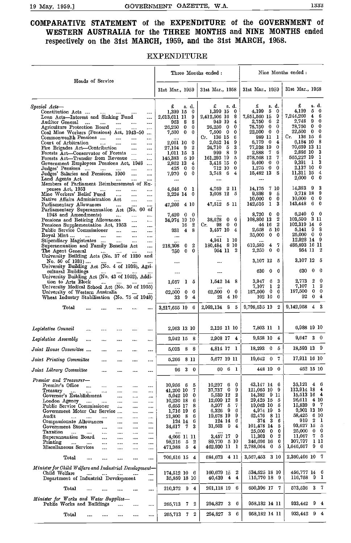#### COMPARATIVE STATEMENT of the EXPENDITURE of the GOVERNMENT of WESTERN AUSTRALIA for the THREE MONTHS and NINE MONTHS ended respectively on the 31st MARCH, 1959, and the 31st MARCH, 1958.

#### EXPENDITURE

|                                                                                                                                                                                                                                                                                                                                                                                                                                                                                                                                                                                                                                                                                                                                                                                                                                                                                                                                                                                                                                                                                                                                                                                                                                                                                                                                                                                                                                                                                                                                                                                                                                                   | Three Months ended :                                                                                                                                                                                                                                                                                                                                                                                                                                                                |                                                                                                                                                                                                                                                                                                                                                                                                                            | Nine Months ended :                                                                                                                                                                                                                                                                                                                                                                                                                                                                                                                                    |                                                                                                                                                                                                                                                                                                                                                                                                                                                                                                                                                                                    |  |
|---------------------------------------------------------------------------------------------------------------------------------------------------------------------------------------------------------------------------------------------------------------------------------------------------------------------------------------------------------------------------------------------------------------------------------------------------------------------------------------------------------------------------------------------------------------------------------------------------------------------------------------------------------------------------------------------------------------------------------------------------------------------------------------------------------------------------------------------------------------------------------------------------------------------------------------------------------------------------------------------------------------------------------------------------------------------------------------------------------------------------------------------------------------------------------------------------------------------------------------------------------------------------------------------------------------------------------------------------------------------------------------------------------------------------------------------------------------------------------------------------------------------------------------------------------------------------------------------------------------------------------------------------|-------------------------------------------------------------------------------------------------------------------------------------------------------------------------------------------------------------------------------------------------------------------------------------------------------------------------------------------------------------------------------------------------------------------------------------------------------------------------------------|----------------------------------------------------------------------------------------------------------------------------------------------------------------------------------------------------------------------------------------------------------------------------------------------------------------------------------------------------------------------------------------------------------------------------|--------------------------------------------------------------------------------------------------------------------------------------------------------------------------------------------------------------------------------------------------------------------------------------------------------------------------------------------------------------------------------------------------------------------------------------------------------------------------------------------------------------------------------------------------------|------------------------------------------------------------------------------------------------------------------------------------------------------------------------------------------------------------------------------------------------------------------------------------------------------------------------------------------------------------------------------------------------------------------------------------------------------------------------------------------------------------------------------------------------------------------------------------|--|
| Heads of Service                                                                                                                                                                                                                                                                                                                                                                                                                                                                                                                                                                                                                                                                                                                                                                                                                                                                                                                                                                                                                                                                                                                                                                                                                                                                                                                                                                                                                                                                                                                                                                                                                                  | 31st Mar., 1959                                                                                                                                                                                                                                                                                                                                                                                                                                                                     | 31st Mar., 1958                                                                                                                                                                                                                                                                                                                                                                                                            | 31st Mar., 1959                                                                                                                                                                                                                                                                                                                                                                                                                                                                                                                                        | 31st Mar., 1958                                                                                                                                                                                                                                                                                                                                                                                                                                                                                                                                                                    |  |
| Special Acts-<br>Constitution Acts<br>$\mathbf{1}$ and $\mathbf{1}$ and $\mathbf{1}$<br>$\sim 100$ km s $^{-1}$<br>$\cdots$<br>Loan Acts—Interest and Sinking Fund<br>$\cdots$<br>Auditor General<br>$\cdots$<br>$\cdots$<br>$\cdots$<br>Agriculture Protection Board<br>$\cdots$<br><br>.<br>Coal Mine Workers (Pensions) Act, 1943-50<br>$\cdots$<br>Commonwealth Pensions<br>$\cdots$<br><br>Court of Arbitration<br>$\cdots$<br>$\cdots$<br><br>$\cdots$<br>Fire Brigades Act-Contribution<br>$\cdots$<br>$\cdots$<br>Forests Act-Conservator of Forests<br>$\sim$<br>$\cdots$<br>Forests Act-Transfer from Revenue<br><br>Government Employees Pensions Act, 1948<br><br>Judges' Pensions<br>$\cdots$<br><br>Judges' Salaries and Pensions, 1950<br>$\cdots$<br><br>Land Agents Act<br><br>Members of Parliament Reimbursement of Ex-<br>penses Act, 1953<br>$\sim$<br>$\cdots$<br><br><br>Mine Workers' Relief Fund<br>$\cdots$<br><br><br>Native Affairs Administration Act<br><br><br>Parliamentary Allowances<br>$\cdots$<br><br><br>Parliamentary Superannuation Act (No. 60<br>οf<br>1948 and Amendments)<br>$\sim$<br>$\cdots$<br><br>Pensions and Retiring Allowances<br>$\cdots$<br>$\mathbf{r}$<br>Pensions Supplementation Act, 1953<br><br>Public Service Commissioner<br>$\cdots$<br>$\cdots$<br>$\cdots$<br>Royal Mint<br>$\cdots$<br>$\sim$<br>$\cdots$<br>$\cdots$<br>$\cdots$<br>Stipendiary Magistrates<br>$\cdots$<br><br>Superannuation and Family Benefits Act<br><br>The Agent General<br><br>$\sim$ and $\sim$<br>University Building Acts (No. 37 of 1930 and<br>No. 50 of 1931)<br><b>Common Common</b><br>$\cdots$ | £<br>s d.<br>1,399 15<br>0<br>9<br>2,613,611 11<br>8<br>963.<br>- 8<br>26,250<br>$\bf{0}$<br>0<br>$\mathbf{0}$<br>7,500<br>0<br>$\cdots$<br>2.061 10 0<br>2<br>27.104 9<br>1,011 15 3<br>145,383 5 10<br>2,862 13<br>4<br>0<br>425<br>$\mathbf{0}$<br>$\mathbf{0}$<br>0<br>7.970<br><br>$4,646$ 0 1<br>3,224 14 0<br><br>47,266 4 10<br>7,420<br>$0\quad 0$<br>34,974 19 10<br>-2<br>16<br>931 4 8<br>$\cdots$<br>-2<br>218,308<br>$\mathbf{0}$<br>0<br>$\mathbf{0}$<br>750<br>1.11 | £<br>s. d.<br>1,399 15<br>0<br>2,412,506 16<br>-8<br>949 19<br>4<br>0<br>$26,250$ 0<br>$\bf{0}$<br>7,500 0<br>-6<br>Cr. 136 15<br>2,052 14<br>9<br>24,710 5<br>3<br>9<br>999 8<br>161,293 19<br>5<br>3,418 15<br>0<br>0<br>712 10<br>3,748 6<br>4<br><br>4,769<br>-2 11<br>3,008 12 5<br>47,512 5 11<br><br>- 6<br>38,628 0<br>$0\quad 0$<br>Cr.<br>98<br>3,457 10 4<br>4,941 1 10<br>180,484 8 10<br>954 11 2<br>$\cdots$ | £<br>s d.<br>5<br>-0<br>4,199<br>7,851,560 15<br>9<br>$\boldsymbol{2}$<br>6<br>2,750<br>0<br>$\mathbf{0}$<br>78,750<br>22,500 0<br>0<br>1<br>989 11<br>6,179 0<br>4<br>77,938 19<br>0<br>6<br>2.888<br>-7<br>7<br>578,568 12<br>$9,400$ 0<br>0<br>0<br>$1,275$ 0<br>15,482 13<br>8<br>$\cdots$<br>7 10<br>14,175<br>9,898<br>9<br>-5<br>10,000<br>0<br>0<br>1<br>3<br>142,516<br>8,720<br>0<br>$\mathbf{0}$<br>2<br>108,806 13<br>-2<br>44 16<br>2,658<br>-5-10<br>$\bf{0}$<br>25,000<br>- 0<br>-7<br>619,589<br>4<br>0<br>0<br>2,250<br>3,107 12<br>5 | £<br>s. d.<br>4,199<br>5<br>$\mathbf 0$<br>7,244,260<br>$\bf{4}$<br>6<br>9.<br>2,748<br>0<br>$\mathbf{0}$<br>$\boldsymbol{0}$<br>78,750<br>0<br>22,500 0<br>136 15 6<br>Cr.<br>6,184 10 8<br>70,659 13 11<br>3<br>2,886 10<br>565,227 19<br>-1<br>3<br>9.391 1<br>2,137 10<br>0<br>$\overline{4}$<br>11,311 15<br>$2,000 \quad 0$<br>0<br>14,383<br>3<br>- 9<br>9,718 18<br>9<br>0<br>10,000<br>$\mathbf{0}$<br>143,448<br>60<br>6,240<br>$0\quad 0$<br>103,599 3 11<br>102,319 14 5<br>8<br>$5{,}141$ $9$<br>25,000 0 0<br>12,928 14 9<br>485,893 16 11<br>954 11 2<br>3,107 12 5 |  |
| University Building Act (No. 4 of 1938), Agri-<br>cultural Buildings<br>$\sim$ $\sim$<br>University Building Act (No. 43 of 1952), Addi-<br>tion to Arts Block<br>$\sim$ $\sim$<br>University Medical School Act (No. 30 of 1955)<br>University of Western Australia<br>Wheat Industry Stabilisation (No. 75 of 1948)                                                                                                                                                                                                                                                                                                                                                                                                                                                                                                                                                                                                                                                                                                                                                                                                                                                                                                                                                                                                                                                                                                                                                                                                                                                                                                                             | <br>$1-5$<br>1,057<br>62,500<br>$\mathbf 0$<br>0<br>9<br>33<br>4                                                                                                                                                                                                                                                                                                                                                                                                                    | <br>$1,542$ 14 8<br>62,500<br>$0\quad 0$<br>28<br>-4 10                                                                                                                                                                                                                                                                                                                                                                    | -0<br>630<br>0<br>3<br>$3,947$ 6<br>$7,107$ 1<br>$\boldsymbol{2}$<br>187,500 0<br>0<br>$102\,10$<br>0                                                                                                                                                                                                                                                                                                                                                                                                                                                  | 630<br>0.<br>- 0<br>2<br>0<br>2,773<br>$\mathbf{1}$<br>2<br>7,107<br>187,500<br>0<br>0<br>92<br>0 <sub>4</sub>                                                                                                                                                                                                                                                                                                                                                                                                                                                                     |  |
| Total                                                                                                                                                                                                                                                                                                                                                                                                                                                                                                                                                                                                                                                                                                                                                                                                                                                                                                                                                                                                                                                                                                                                                                                                                                                                                                                                                                                                                                                                                                                                                                                                                                             | 3,217,655 19 6                                                                                                                                                                                                                                                                                                                                                                                                                                                                      | 2,993,134 8 5                                                                                                                                                                                                                                                                                                                                                                                                              | 9,798,535 19 2                                                                                                                                                                                                                                                                                                                                                                                                                                                                                                                                         | $9,142,958 \quad 4 \quad 3$                                                                                                                                                                                                                                                                                                                                                                                                                                                                                                                                                        |  |
| Legislative Council<br><br><br><br>Legislative Assembly<br>$\cdots$<br>$\cdots$<br><br><br><br>Joint House Committee<br>$\cdots$<br><br>$\cdots$<br><br>Joint Printing Committee<br><br>Joint Library Committee<br>$\cdots$<br><br><br>                                                                                                                                                                                                                                                                                                                                                                                                                                                                                                                                                                                                                                                                                                                                                                                                                                                                                                                                                                                                                                                                                                                                                                                                                                                                                                                                                                                                           | 2,963 13 10<br>2,942 15 8<br>5,093 8 8<br>5,266 8 11<br>$3 \quad 0$<br>96                                                                                                                                                                                                                                                                                                                                                                                                           | 2,126 11 10<br>2,908 17 4<br>4,814 17 1<br>5,677 19 11<br>60 6 1                                                                                                                                                                                                                                                                                                                                                           | 7,803 11 1<br>9,858 10<br>4<br>$18,293$ 0<br>5<br>19,642 0 7<br>448 19 0                                                                                                                                                                                                                                                                                                                                                                                                                                                                               | 6,988 19 10<br>$9,647$ 3 0<br>18,593 13 9<br>17,911 16 10<br>452 15 10                                                                                                                                                                                                                                                                                                                                                                                                                                                                                                             |  |
| Premier and Treasurer-<br>Premier's Office<br>$\mathbf{r}$<br>$\cdots$<br>$\cdots$<br>$\cdots$<br><br>Treasury<br>$\cdots$<br><br>$\cdots$<br><br><br><br>Governor's Establishment<br><br><br><br>London Agency<br><br>$\cdots$<br>$\cdots$<br>$\cdots$<br>$\cdots$<br>Public Service Commissioner<br>$\mathbf{a}$<br>$\cdots$<br><br>Government Motor Car Service<br><br><br>Audit<br>$\sim$<br><br>$\cdots$<br>$\cdots$<br>$\cdots$<br>in i<br>Compassionate Allowances<br><br><br>$\cdots$<br>Government Stores<br>$\cdots$<br><br>$\cdots$<br>$\cdots$<br>Taxation<br>$\cdots$<br>$\cdots$<br>$\cdots$<br><br>$\cdots$<br>Superannuation Board<br>$\cdots$<br><br><br><br>Printing<br>$\mathcal{L}_{\text{max}}$<br>$\cdots$<br><br><br><br><br>Miscellaneous Services<br><br><br><br><br>Total<br><br><br><br><br>                                                                                                                                                                                                                                                                                                                                                                                                                                                                                                                                                                                                                                                                                                                                                                                                                           | $10,956$ 6<br>5<br>7<br>41,200 10<br>5,042 10<br>0<br>6<br>10,230 18<br>6,655 17<br>8<br>1,716 19<br>6<br>21,800 8<br>6<br>124 14<br>6<br>34,617 7<br>3<br><br>4,066 11 11<br>98,216 5<br>2<br>471,988 5<br>4<br>706,616 15 4                                                                                                                                                                                                                                                       | 10,297<br>6<br>$\mathbf 0$<br>37,737 0 9<br>$\boldsymbol{2}$<br>5,539 12<br>8<br>12,099 12<br>5,207 5<br>7.<br>9<br>6<br>6,326<br>9<br>19,678 19<br>6<br>124 14<br>$31,503$ 9 4<br>3,457 17 9<br>89,770 5 10<br>462,930 11 1<br>684,673 4 11                                                                                                                                                                               | 43,147 14 6<br>121,065 10 9<br>14,382 9 11<br>29,425 15 5<br>19,063 10 5<br>4,974 19 5<br>62,476 8 11<br>374 3 6<br>101,478 14 5<br>25,000 0<br>0<br>$\boldsymbol{2}$<br>$11,303$ 0<br>$\bf{0}$<br>346,696 16<br>2,788,064 0 5<br>3,567,453 3 10                                                                                                                                                                                                                                                                                                       | $35,121 \quad 4 \quad 6$<br>113,914 18 4<br>15,513 16 4<br>26,611 4 10<br>15,839 9 7<br>9,901 13 10<br>58,425 6 10<br>919 2 1<br>93,627 15 5<br>25,000<br>$0\quad 0$<br>$7-5$<br>11,067<br>1 11<br>307,797<br>1,646,667 9 6<br>2,360,406 10 7                                                                                                                                                                                                                                                                                                                                      |  |
| Minister for Child Welfare and Industrial Development-<br>Child Welfare<br>$\cdots$<br>$\cdots$<br>Department of Industrial Development<br>$\cdots$<br>$\mathbf{Total}$<br>$\cdots$<br><br>                                                                                                                                                                                                                                                                                                                                                                                                                                                                                                                                                                                                                                                                                                                                                                                                                                                                                                                                                                                                                                                                                                                                                                                                                                                                                                                                                                                                                                                       | 174,512 10 6<br>35,859 18 10<br>210,372 9 4                                                                                                                                                                                                                                                                                                                                                                                                                                         | 160,679 15 2<br>40,439 4 4<br>201,118 19 6                                                                                                                                                                                                                                                                                                                                                                                 | 534,625 18 10<br>115,770 18 9<br>650,396 17 7                                                                                                                                                                                                                                                                                                                                                                                                                                                                                                          | 456,777 14 6<br>116,758 9 1<br>573,536 3 7                                                                                                                                                                                                                                                                                                                                                                                                                                                                                                                                         |  |
| Minister for Works and Water Supplies-<br>Public Works and Buildings<br>$\cdots$<br><br>$\cdots$                                                                                                                                                                                                                                                                                                                                                                                                                                                                                                                                                                                                                                                                                                                                                                                                                                                                                                                                                                                                                                                                                                                                                                                                                                                                                                                                                                                                                                                                                                                                                  | 2<br>265,713 7                                                                                                                                                                                                                                                                                                                                                                                                                                                                      | 294,827 3<br>-6                                                                                                                                                                                                                                                                                                                                                                                                            | 958,182 14 11                                                                                                                                                                                                                                                                                                                                                                                                                                                                                                                                          | $9\quad 4$<br>933,442                                                                                                                                                                                                                                                                                                                                                                                                                                                                                                                                                              |  |
| $_{\rm Total}$<br>$\cdots$<br>$\cdots$<br><br>$\cdots$<br>$\cdots$                                                                                                                                                                                                                                                                                                                                                                                                                                                                                                                                                                                                                                                                                                                                                                                                                                                                                                                                                                                                                                                                                                                                                                                                                                                                                                                                                                                                                                                                                                                                                                                | 265,713 7 2                                                                                                                                                                                                                                                                                                                                                                                                                                                                         | $\mathbf{3}$<br>6<br>294,827                                                                                                                                                                                                                                                                                                                                                                                               | 958,182 14 11                                                                                                                                                                                                                                                                                                                                                                                                                                                                                                                                          | 933,442 9 4                                                                                                                                                                                                                                                                                                                                                                                                                                                                                                                                                                        |  |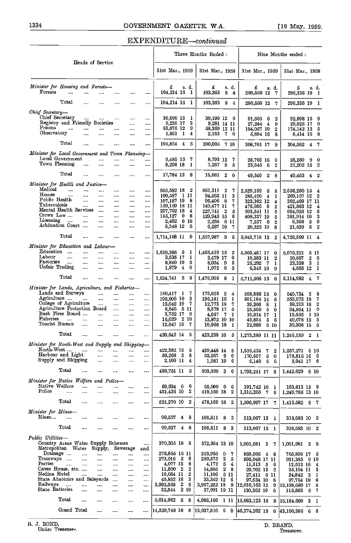#### EXPENDITURE-continued

|                                                  |                                                    |              |                      |                      |                      |                      | Three Months Ended:          |                |              |                                                        | Nine Months ended :                                   |                                                     |  |
|--------------------------------------------------|----------------------------------------------------|--------------|----------------------|----------------------|----------------------|----------------------|------------------------------|----------------|--------------|--------------------------------------------------------|-------------------------------------------------------|-----------------------------------------------------|--|
|                                                  |                                                    |              | Heads of Service     |                      |                      |                      | 31st Mar., 1959              |                |              | 31st Mar., 1958                                        | 31st Mar., 1959                                       | 31st Mar., 1958                                     |  |
| Minister for Housing and Forests-                |                                                    |              |                      |                      |                      |                      | £                            |                | s. d.        | £<br>s. d.                                             | £<br>s.d.                                             | £<br>s. d.                                          |  |
| Forests                                          |                                                    |              |                      |                      |                      |                      | 104,214 16                   |                | 1            | 8<br>103,363<br>4                                      | 280,550 12<br>7                                       | 296,336 19<br>- 1                                   |  |
|                                                  | Total                                              | $\cdots$     | $\cdots$             |                      |                      |                      | 104,214 16                   |                | 1            | 103,363<br>84                                          | 280,550 12<br>- 7                                     | 296,336 19 1                                        |  |
| Chief Secretary-                                 |                                                    |              |                      |                      |                      |                      |                              |                |              |                                                        |                                                       |                                                     |  |
|                                                  | Chief Secretary<br>Registry and Friendly Societies | $\cdots$     | $\cdots$             | $\cdots$             | $\cdots$             | $\cdots$<br>         | 30,690 13<br>9,236 17        |                | 1<br>3       | 30,190 12 0<br>9,281 14 11                             | 91,505<br>6<br>$\boldsymbol{2}$<br>27,244             | 92,998 16<br>9<br>9                                 |  |
| Prisons                                          |                                                    |              |                      |                      | <br>$\cdots$         | $\cdots$             | 63,075 12                    |                | 9            | 58,369 13 11                                           | 4<br>9<br>184,057 10<br>$\overline{2}$                | 29,025 17<br>5<br>174,142 13                        |  |
| Observatory                                      |                                                    |              | $\cdots$             |                      |                      | $\cdots$             | 1,851 1                      |                | 4            | 2,163<br>-70                                           | 5,894 16<br>8                                         | 8<br>8,414 16                                       |  |
|                                                  | Total                                              | $\cdots$     |                      |                      |                      |                      | 104,854 4                    |                | -5           | 100.005<br>-7 10                                       | 308,701 17<br>9                                       | $4 \overline{7}$<br>304,582                         |  |
| Minister for Local Government and Town Planning- |                                                    |              |                      |                      |                      |                      |                              |                |              |                                                        |                                                       |                                                     |  |
|                                                  | Local Government<br>Town Planning                  |              | $\cdots$             | $\cdots$             | $\cdots$             | $\cdots$             | 9,485 15                     |                | 7            | 8,793 13<br>7                                          | 25,703 16<br>6                                        | 28,250<br>0<br>9                                    |  |
|                                                  |                                                    |              | $\cdots$             | $\cdots$             | $\cdots$             | $\cdots$             | 8,298 18                     |                | 1            | 7,267<br>-8<br>5                                       | - 6<br>$\boldsymbol{2}$<br>23,645                     | 21,202 15 2                                         |  |
|                                                  | Total                                              | $\cdots$     | $\cdots$             | $\cdots$             |                      |                      | 17,784 13 8                  |                |              | 16,061 2<br>$\bf{0}$                                   | 49,349 2<br>8                                         | $49,453 \quad 4 \quad 2$                            |  |
| Minister for Health and Justice-<br>Medical      |                                                    |              |                      |                      |                      |                      |                              |                |              |                                                        |                                                       |                                                     |  |
| Homes                                            | <br>$\cdots$                                       | $\cdots$<br> | $\cdots$<br>         | $\cdots$<br>         | $\cdots$<br>$\cdots$ | $\cdots$<br>         | 955,582 18<br>100,587 1 11   |                | $\mathbf{2}$ | 861,311<br>2<br>7<br>94,563 11<br>3                    | 2,829,169<br>8<br>6<br>$\overline{4}$<br>285,420<br>1 | 2,658,260 15<br>4<br>$\boldsymbol{2}$<br>269,157 12 |  |
| Public Health                                    |                                                    |              | $\cdots$             | $\cdots$             | $\cdots$             | $\cdots$             | 107,187 19                   |                | 8            | 95,406<br>8<br>7                                       | 323,302 12<br>4                                       | 302,469 17 11                                       |  |
| Tuberculosis                                     | Mental Health Services                             | $\cdots$     | $\cdots$             | $\cdots$             | $\cdots$             |                      | 159,159 18 11                |                |              | 140,477 11<br>7                                        | 476,066 8<br>$\boldsymbol{2}$                         | 421,863 12<br>4                                     |  |
| Crown Law                                        |                                                    |              | $\cdots$<br>         | <br>$\cdots$         | $\cdots$<br>$\cdots$ | <br>                 | 237,762 18<br>145,127        | 0              | 4<br>8       | 227,741<br>$\mathbf{2}$<br>5<br>129,943 15<br>6        | 5<br>693,541 11<br>408,337 19<br>5                    | 664,925 12<br>5<br>3<br>381,914 10                  |  |
| Licensing                                        | $\cdots$                                           |              |                      |                      | $\cdots$             |                      | 2,402                        | $0\,10$        |              | 2,256<br>-6 11                                         | - 0<br>5<br>7,557                                     | 6,368<br>9<br>- 5                                   |  |
|                                                  | Arbitration Court                                  |              |                      |                      |                      | $\cdots$             | 6,348 12 6                   |                |              | 6,287 10<br>-7                                         | 20,323 10<br>8                                        | $\boldsymbol{2}$<br>21,639 5                        |  |
|                                                  | Total                                              |              |                      |                      |                      |                      | 1,714,158 11                 |                | $\mathbf{0}$ | 1,557,987 9<br>-5                                      | $\overline{2}$<br>5,043,718 13                        | 4,726,599 11 4                                      |  |
| Minister for Education and Labour-               |                                                    |              |                      |                      |                      |                      |                              |                |              |                                                        |                                                       |                                                     |  |
| Education                                        | $\ddotsc$                                          |              | $\cdots$             |                      | $\cdots$             |                      | 1,610,385 5                  |                | $\mathbf{I}$ | 1,463,419 15<br>$\boldsymbol{2}$                       | 5,669,481 17<br>0                                     | 5,076,321<br>6 11                                   |  |
| Labour<br>Factories                              | $\cdots$<br>$\cdots$                               | $\ldots$<br> | $\cdots$<br>$\cdots$ | <br>                 | $\cdots$             | <br>                 | 3,635 17<br>8,840 19         |                | 1<br>6       | 0<br>3,479 17<br>6<br>-9                               | 10,383 11<br>2                                        | $\mathbf{2}$<br>6<br>10,667<br>3 <sub>1</sub>       |  |
|                                                  | Unfair Trading                                     | $\cdots$     | $\cdots$             | $\cdots$             | <br>$\cdots$         | $\cdots$             | 1,879                        | $\overline{4}$ | 0            | 8,094<br>6<br>1,972<br>5                               | 25,292<br>-7<br>1<br>6,348 19<br>9                    | 23,328<br>4,665 12 1                                |  |
|                                                  | Total                                              |              | $\cdots$             |                      |                      |                      | 1,624,741 5 8                |                |              | 1,476,966 8 1                                          | 5,711,506 15 0                                        | 5,114,982 4 7                                       |  |
| Minister for Lands, Agriculture, and Fisheries-  |                                                    |              |                      |                      |                      |                      |                              |                |              |                                                        |                                                       |                                                     |  |
|                                                  | Lands and Surveys                                  |              | $\cdots$             |                      |                      | $\cdots$             | 180,417 1                    |                | 7            | 176,825 2<br>4                                         | 558,888 15<br>0                                       | 8<br>540,734 3                                      |  |
| Agriculture                                      | College of Agriculture                             | $\cdots$     | <br>                 | $\cdots$<br>$\cdots$ | <br>$\cdots$         |                      | 195,906 10<br>13,042 19      |                | 3<br>7       | 196,181 16<br>1<br>12,773 18<br>7                      | 561,184 14<br>5                                       | 559,673 18<br>7<br>$\boldsymbol{2}$                 |  |
|                                                  | Agriculture Protection Board                       |              |                      | $\cdots$             | $\cdots$             | <br>$\cdots$         | 8,846 5 11                   |                |              | 8,578 17<br>5                                          | 39,306<br>- 8<br>1<br>-5<br>25,560<br>$\bf{0}$        | 39,213 18<br>- 0<br>24,864 11                       |  |
|                                                  | Bush Fires Board                                   |              | $\sim$               |                      |                      | $\cdots$             | 3,752 17 9                   |                |              | 4,037<br>- 7<br>- 1                                    | 10,514 17<br>1                                        | 10,665<br>1 10                                      |  |
| Fisheries                                        | $\mathbf{r}$                                       | sas.         | $\ddotsc$            | $\cdots$             | $\cdots$             |                      | 16.029                       | 2 10           |              | 13,872 10 10                                           | 45,854<br>6<br>5                                      | 40,678 13<br>5                                      |  |
|                                                  | Tourist Bureau                                     | $\cdots$     | $\cdots$             | $\cdots$             | $\cdots$             |                      | 12,647 16                    |                | 7            | 10,968 18<br>- 1                                       | 32,080<br>610                                         | 30,308 15 5                                         |  |
|                                                  | Total                                              | $\cdots$     |                      |                      |                      |                      | 430,642 14                   |                | 6            | 423,238 10<br>5                                        | 1,273,389 11 11                                       | 1,246,139 2<br>$\mathbf{1}$                         |  |
| Minister for North-West and Supply and Shipping- |                                                    |              |                      |                      |                      |                      |                              |                |              |                                                        |                                                       |                                                     |  |
| North-West                                       | Harbour and Light                                  | $\cdots$     | <br>                 |                      | <br>                 | <br>$\cdots$         | 422.382 16 5<br>56,268 3     |                | 8            | 439,448 14<br>-6<br>$62,267$ 9<br>0                    | 1,616,434<br>7<br>2<br>5<br>$\bf{0}$<br>170,667       | $1,257,271$ 6 10<br>178,815 16 6                    |  |
|                                                  | Supply and Shipping                                |              | $\cdots$             | $\cdots$             | $\cdots$             | $\cdots$             | 2,100 11                     |                | 4            | 1,981 19<br>-6                                         | 6,140<br>5<br>6                                       | 5,941 17 6                                          |  |
|                                                  | Total                                              |              |                      | $\cdots$             | $\cdots$             | $\cdots$             | 480,751 11 5                 |                |              | 503,698 3 0                                            | 1,793,241 17 8                                        | $1,442,029$ 0 10                                    |  |
| Minister for Native Welfare and Police-          |                                                    |              |                      |                      |                      |                      |                              |                |              |                                                        |                                                       |                                                     |  |
| Native Welfare                                   |                                                    |              |                      |                      |                      | $\cdots$             | 69,934 0                     |                | 0            | 65,000 0<br>- 0                                        | 191,742 10<br>-1                                      | 163,813 15 9                                        |  |
| Police                                           |                                                    |              |                      |                      |                      | $\cdots$             | 451,436 10 2                 |                |              | 410,169 18 2                                           | 1,315,255 7<br>-6                                     | 1,249,768 13 10                                     |  |
|                                                  | Total                                              | $\cdots$     | $\cdots$             |                      | $\cdots$             | $\cdots$             | 521,370 10 2                 |                |              | 475,169 18 2                                           | 1.506,997 17 7                                        | 1,413,582 9 7                                       |  |
| Minister for Mines-                              |                                                    |              |                      |                      |                      |                      |                              |                |              |                                                        |                                                       |                                                     |  |
| Mines                                            |                                                    | $\cdots$     |                      |                      |                      | $\cdots$             | 99,527 4 8                   |                |              | 106,811 8 3                                            | 313,067 13 1                                          | 318,683 10 2                                        |  |
|                                                  | Total                                              |              |                      |                      |                      | $\cdots$             | 99,527                       | 48             |              | 106,811 8 3                                            | 313,067 13 1                                          | 318,683 10 2                                        |  |
| Public Utilities-                                |                                                    |              |                      |                      |                      |                      |                              |                |              |                                                        |                                                       |                                                     |  |
|                                                  | Country Areas Water Supply Schemes                 |              |                      |                      |                      | $\cdots$             | 370,305 18 5                 |                |              | 372,954 13 10                                          | 1,001,681 3 7                                         | 1,001.981 2<br>- 8                                  |  |
|                                                  | Metropolitan Water                                 |              | Supply,              |                      | Sewerage             | and                  |                              |                |              |                                                        |                                                       |                                                     |  |
| Tramways                                         | Drainage                                           | <br>         |                      |                      |                      |                      | 278,865 15 11<br>273,916 2 9 |                |              | 253,965 0<br>7<br>289,575 2<br>5                       | 859,505 4 8                                           | 765,896 17 5                                        |  |
| Ferries                                          | $\cdots$                                           |              | $\cdots$<br>         | <br>$\cdots$         | <br>$\cdots$         | $\cdots$<br>$\cdots$ | 4,077 13                     |                | 8            | 4,172<br>-5<br>4                                       | 895,048 17 11<br>$11,613$ 5<br>-6                     | 931,383 9 10<br>12,513 16<br>$\overline{4}$         |  |
|                                                  | Caves House, etc.                                  |              |                      | $\cdots$             |                      |                      | 11,800 2                     |                | 2            | $\boldsymbol{2}$<br>14,805<br>- 8                      | 29,702 13<br>$\boldsymbol{2}$                         | 35,104 11<br>3                                      |  |
| Medina Hotel                                     |                                                    |              |                      |                      | $\cdots$             | $\cdots$             | 10,054 11                    |                | 2            | 5 11<br>11,106                                         | 27,411 8 11                                           | 24,842 3<br>1                                       |  |
|                                                  | State Abattoirs and Saleyards                      |              |                      |                      |                      | $\cdots$             | 40,852 16                    |                | 3            | 33,342 12<br>-6                                        | 97,634 10<br>8                                        | 97,764 19<br>6                                      |  |
| Railways<br>State Batteries                      | .                                                  | <br>         | <br>                 | <br>                 | <br>                 | <br>$\cdots$         | 3,992,565<br>32,544 2 10     | $2\quad 6$     |              | 3,967,252 18<br>-9<br>37,991 19 11                     | 12,010,163 12<br>9<br>130,362 19<br>6                 | 12,198,689 17<br>-5<br>7<br>115,883 5               |  |
|                                                  | $_{\rm Total}$                                     |              |                      |                      |                      |                      | 5,014,982 5 8                |                |              |                                                        |                                                       |                                                     |  |
|                                                  |                                                    |              | $\cdots$             |                      |                      |                      |                              |                |              | 4,985,166 1 11                                         | 15,063,123 16<br>8                                    | 15,184,060 3 1                                      |  |
|                                                  | Grand Total                                        |              |                      |                      |                      |                      |                              |                |              | $14,529,748$ 18 8 $ 13,937,810$ 6 0 $ 46,374,262$ 15 0 |                                                       | $ 43,160,386 \t6 \t6$                               |  |

it 3. BOND, D. BRAND, Under Treasurer. Treasurer.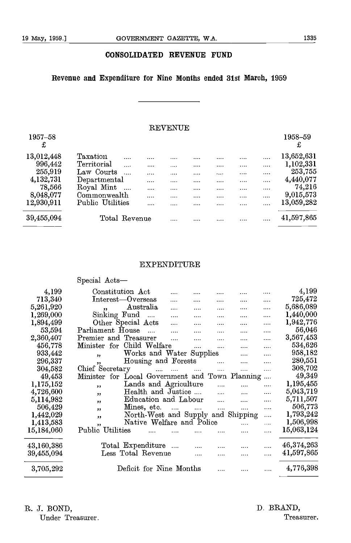#### CONSOLIDATED REVENUE FUND

#### Revenue and Expenditure for Nine Months ended 31st March, 1959

#### REVENUE

|                          |          |               |           |   |          |          | 1958-59    |                      |
|--------------------------|----------|---------------|-----------|---|----------|----------|------------|----------------------|
|                          |          |               |           |   |          |          | £          |                      |
| Taxation<br>             |          |               |           |   |          |          | 13,652,631 |                      |
| Territorial<br>          | 1.1.1.1  |               | .         |   |          | $\cdots$ |            |                      |
| Law Courts<br>$\cdots$   |          |               | $- - - -$ |   |          |          |            |                      |
| Departmental             | $\cdots$ |               |           |   |          |          | 4,440,077  |                      |
| Royal Mint<br>$\sim 100$ |          |               |           |   | $\cdots$ | $\cdots$ | 74,216     |                      |
| Commonwealth             | $\cdots$ |               |           |   |          |          | 9,015,573  |                      |
| Public Utilities         |          |               |           | . |          | $\cdots$ | 13,059,282 |                      |
|                          |          |               |           | . | .        |          | 41,597,865 |                      |
|                          |          | Total Revenue |           |   |          |          |            | 1,102,331<br>253,755 |

#### EXPENDITURE

|            | Special Acts-                                                              |            |
|------------|----------------------------------------------------------------------------|------------|
| 4,199      | Constitution Act                                                           | 4,199      |
| 713,340    | Interest-Overseas<br>.<br>.<br><br>.                                       | 725,472    |
| 5,261,920  | Australia<br>.<br>$\cdots$<br><br>55<br>.<br>                              | 5,686,089  |
| 1,269,000  | Sinking Fund<br>$\sim$ . $\sim$<br>.                                       | 1,440,000  |
| 1,894,499  | Other Special Acts<br>$\cdots$<br>.<br>.<br>.                              | 1,942,776  |
| 53,594     | Parliament House<br>$\sim$<br>.                                            | 56,046     |
| 2,360,407  | Premier and Treasurer<br>$\cdots$<br>.                                     | 3,567,453  |
| 456,778    | Minister for Child Welfare<br><br>                                         | 534,626    |
| 933,442    | Works and Water Supplies<br>.<br>$\overline{\mathbf{z}}$                   | 958,182    |
| 296,337    | Housing and Forests<br><br>.<br>,,                                         | 280,551    |
| 304,582    | Chief Secretary<br>$\cdots$<br>$\cdots$<br><br>.<br>.<br>                  | 308,702    |
| 49,453     | Minister for Local Government and Town Planning<br>$\cdots$                | 49,349     |
| 1,175,152  | Lands and Agriculture<br><br>.<br>,,                                       | 1,195,455  |
| 4,726,600  | Health and Justice<br>$\cdots$<br>.<br>$\cdots$<br>, 2, 3                  | 5,043,719  |
| 5,114,982  | Education and Labour<br>.<br>.<br>, 2                                      | 5,711,507  |
| 506,429    | Mines, etc.<br>$\mathbf{1}$<br>$\cdots$<br>$\cdots$<br>$\cdots$<br>.<br>,, | 506,773    |
| 1,442,029  | North-West and Supply and Shipping<br><br>, 2                              | 1,793,242  |
| 1,413,583  | Native Welfare and Police<br>.                                             | 1,506,998  |
| 15,184,060 | ,,<br>Public Utilities<br>.                                                | 15,063,124 |
|            |                                                                            |            |
| 43,160,386 | Total Expenditure                                                          | 46,374,263 |
| 39,455,094 | Less Total Revenue<br>$\cdots$<br><br>                                     | 41,597,865 |
|            |                                                                            |            |
| 3,705,292  | Deficit for Nine Months<br>.<br>                                           | 4,776,398  |
|            |                                                                            |            |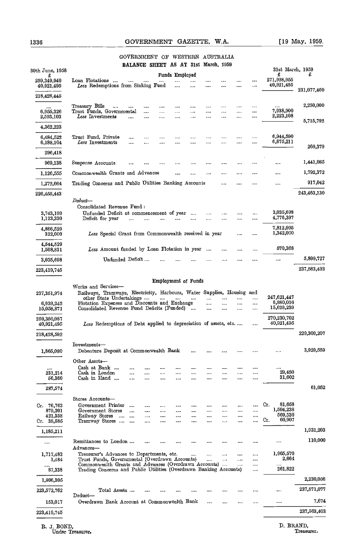#### 1336 GOVERNMENT GAZETTE, W.A. [19 May, 1959.

#### GOVERNMENT OF WESTERN AUSTRALIA BALANCE SHEET AS AT 31st Maroh, 1959

| 30th June, 1958                                       | DAMANUN SHINNI AU AI OISU MANUH, 1000<br>31st March, 1959                                                                                                                                                                                                                                                                      |             |
|-------------------------------------------------------|--------------------------------------------------------------------------------------------------------------------------------------------------------------------------------------------------------------------------------------------------------------------------------------------------------------------------------|-------------|
| £<br>259,349,940<br>40,921,495                        | Funds Employed<br>£<br>271,998,955<br>Loan Flotations<br><br><br><br>$\cdots$<br><br>40,921,495<br>Less Redemptions from Sinking Fund<br><br><br><br><br><br>                                                                                                                                                                  | £           |
| 218,428,445                                           |                                                                                                                                                                                                                                                                                                                                | 231,077,460 |
| <br>6,955,326<br>2,593,103                            | Treasurv Bills<br><br>$\cdots$<br><br>$\cdots$<br><br><br><br><br><br>7,938,900<br>Trust Funds, Governmental<br><br><br><br><br>.<br><br>.<br><br>2,223,108<br>Less Investments<br>$\cdots$<br><br><br><br>.  .<br><br><br>.                                                                                                   | 2,250,000   |
| 4,362,223                                             |                                                                                                                                                                                                                                                                                                                                | 5,715,792   |
| 6,484,522<br>6,188,104                                | 6,944,590<br>Trust Fund, Private<br><br><br><br><br><br><br>$\cdots$<br>6,675,211<br>Less Investments<br><br><br><br><br><br><br>$\cdots$<br><br>                                                                                                                                                                              |             |
| 296,418                                               |                                                                                                                                                                                                                                                                                                                                | 269,379     |
| 969,138                                               | Suspense Accounts<br><br><br><br><br><br><br>                                                                                                                                                                                                                                                                                  | 1,441,085   |
| 1,126,555                                             | Commonwealth Grants and Advances<br><br><br><br>                                                                                                                                                                                                                                                                               | 1,792,372   |
| 1,272,664                                             | Trading Concerns and Public Utilities Banking Accounts<br><br>$\cdots$<br>.<br>$\cdots$                                                                                                                                                                                                                                        | 917,042     |
| 226,455,443                                           |                                                                                                                                                                                                                                                                                                                                | 243,463,130 |
| 3,743,199<br>1,123,330                                | $\emph{Deduct}$ —<br>Consolidated Revenue Fund:<br>3,035,698<br>Unfunded Deficit at commencement of year<br><br>$\cdots$<br><br>4,776,397<br>Deficit for year<br><br><br>$\cdots$                                                                                                                                              |             |
| 4,866,529<br>322,000                                  | 7,812,095<br>1,342,000<br>Less Special Grant from Commonwealth received in year<br>$\cdots$                                                                                                                                                                                                                                    |             |
| 4,544,529<br>1,508,831                                | 570,368<br>Less Amount funded by Loan Flotation in year<br>$\cdots$<br>                                                                                                                                                                                                                                                        |             |
| 3,035,698                                             | Unfunded Deficit<br><br><br><br>                                                                                                                                                                                                                                                                                               | 5,899,727   |
| 223,419,745                                           |                                                                                                                                                                                                                                                                                                                                | 237,563,403 |
| 237,351,974<br>6,939,242<br>15,058,871<br>259,350,087 | Railways, Tramways, Electricity, Harbours, Water Supplies, Housing and<br>247,621,447<br>other State Undertakings<br><br>$\ddotsc$<br><br><br>Flotation Expenses and Discounts and Exchange<br>6,980,016<br><br>$\ddotsc$<br><br><br>15,629,239<br>Consolidated Revenue Fund Deficits (Funded)<br><br><br>.<br><br>270,230,702 |             |
| 40,921,495                                            | 40.921,495<br>Less Redemptions of Debt applied to depreciation of assets, etc.<br>$\cdots$                                                                                                                                                                                                                                     |             |
| 218,428,592                                           |                                                                                                                                                                                                                                                                                                                                | 229,309,207 |
| 1,865,080                                             | Investments-<br>Debenture Deposit at Commonwealth Bank<br><br><br><br>                                                                                                                                                                                                                                                         | 3,929,559   |
|                                                       | Other Assets-<br>Cash at Bank<br><br><br><br>                                                                                                                                                                                                                                                                                  |             |
| 231.214<br>56,360                                     | 29,450<br>Cash in London<br><br><br><br><br><br>$\cdots$<br><br><br><br>31,602<br>Cash in Hand<br>$\cdots$<br><br>$\cdots$<br>$\cdots$<br><br><br><br><br>                                                                                                                                                                     |             |
| 287,574                                               |                                                                                                                                                                                                                                                                                                                                | 61,052      |
| Cr. 76,763<br>879,201<br>421,358<br>Cr. 38,585        | Stores Accounts-<br>81,658<br>Cr.<br>Government Printer<br>$\cdots$<br><br>.<br><br><br>1,504,238<br>Government Stores<br>$\cdots$<br><br><br><br><br><br>569,530<br>Railway Stores<br>$\ddotsc$<br>$\cdots$<br><br>.<br><br><br><br><br><br><br>60,907<br>Cr.<br>Tramway Stores<br>$\cdots$<br><br><br><br><br><br><br>       |             |
| 1.185,211                                             |                                                                                                                                                                                                                                                                                                                                | 1,931,203   |
|                                                       | Remittances to London<br>.<br><br>$\Lambda$ d vances—                                                                                                                                                                                                                                                                          | 110,000     |
| 1,717,483<br>1,484                                    | 1,965,570<br>Treasurer's Advances to Departments, etc.<br>$\cdots$<br><br><br><br>2,664<br>Trust Funds, Governmental (Overdrawn Accounts)<br>$\cdots$<br><br>Commonwealth Grants and Advances (Overdrawn Accounts)<br>$\cdots$                                                                                                 |             |
| <br>87,338                                            | <br>261,822<br>Trading Concerns and Public Utilities (Overdrawn Banking Accounts)<br>                                                                                                                                                                                                                                          |             |
| 1,806,305                                             |                                                                                                                                                                                                                                                                                                                                | 2,230,056   |
| 223,572,762                                           | Total Assets<br><br>$\cdots$<br><br>Deduct—                                                                                                                                                                                                                                                                                    | 237,571,077 |
| 153,017                                               | Overdrawn Bank Account at Commonwealth Bank<br><br>$\cdots$<br>in e<br>m<br>1.11                                                                                                                                                                                                                                               | 7,674       |
| 223,419,745                                           |                                                                                                                                                                                                                                                                                                                                | 237,563,403 |
|                                                       |                                                                                                                                                                                                                                                                                                                                |             |

R. J. BOND, D. BRAND, D. BRAND, D. BRAND, Treasurer.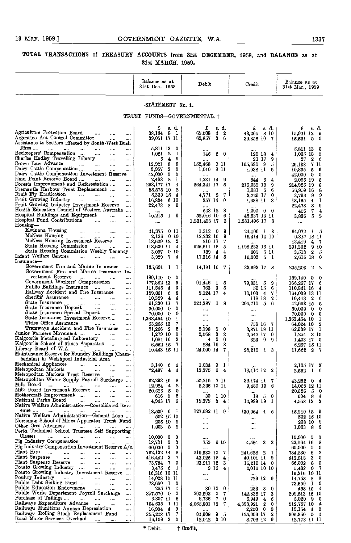#### TOTAL TRANSACTIONS of TREASURY ACCOUNTS from 31st DECEMBER, 1958, and BALANCE as at 31st MARCH, 1959.

|                                                                                                                                                                                                                                                                                                                                                                                                                                                                                                                                                                                                                                                                                                                                                                                                                                                                                                                                                                                                                                                                                                                         | Balance as at<br>31st Dec., 1958                                                                                                                                                                                                                                                                                                | Debit                                                                                                                                                                                                                                                                                     | Credit                                                                                                                                                                                                                                                      | Balance as at<br>31st Mar., 1959                                                                                                                                                                                                                                                                                                                            |
|-------------------------------------------------------------------------------------------------------------------------------------------------------------------------------------------------------------------------------------------------------------------------------------------------------------------------------------------------------------------------------------------------------------------------------------------------------------------------------------------------------------------------------------------------------------------------------------------------------------------------------------------------------------------------------------------------------------------------------------------------------------------------------------------------------------------------------------------------------------------------------------------------------------------------------------------------------------------------------------------------------------------------------------------------------------------------------------------------------------------------|---------------------------------------------------------------------------------------------------------------------------------------------------------------------------------------------------------------------------------------------------------------------------------------------------------------------------------|-------------------------------------------------------------------------------------------------------------------------------------------------------------------------------------------------------------------------------------------------------------------------------------------|-------------------------------------------------------------------------------------------------------------------------------------------------------------------------------------------------------------------------------------------------------------|-------------------------------------------------------------------------------------------------------------------------------------------------------------------------------------------------------------------------------------------------------------------------------------------------------------------------------------------------------------|
|                                                                                                                                                                                                                                                                                                                                                                                                                                                                                                                                                                                                                                                                                                                                                                                                                                                                                                                                                                                                                                                                                                                         | STATEMENT No. 1.                                                                                                                                                                                                                                                                                                                |                                                                                                                                                                                                                                                                                           |                                                                                                                                                                                                                                                             |                                                                                                                                                                                                                                                                                                                                                             |
|                                                                                                                                                                                                                                                                                                                                                                                                                                                                                                                                                                                                                                                                                                                                                                                                                                                                                                                                                                                                                                                                                                                         | TRUST FUNDS-GOVERNMENTAL.+                                                                                                                                                                                                                                                                                                      |                                                                                                                                                                                                                                                                                           |                                                                                                                                                                                                                                                             |                                                                                                                                                                                                                                                                                                                                                             |
| Agriculture Protection Board<br>$\cdots$<br><br><br>Argentine Ant Control Committee<br><br>Assistance to Settlers affected by South-West Bush                                                                                                                                                                                                                                                                                                                                                                                                                                                                                                                                                                                                                                                                                                                                                                                                                                                                                                                                                                           | £<br>s. d.<br>8 1<br>38.164<br>39,051 17 11                                                                                                                                                                                                                                                                                     | £<br>s. d.<br>65,508<br>$\mathbf{2}$<br>$\overline{4}$<br>36<br>62,857                                                                                                                                                                                                                    | £<br>s. d.<br>43,265<br>8 10<br>39,356 10 7                                                                                                                                                                                                                 | £<br>s. d.<br>15,921 12<br>-9<br>-5<br>15,551<br>0                                                                                                                                                                                                                                                                                                          |
| Fires<br><br>$\cdots$<br>$\cdots$<br>$\cdots$<br>Beekeepers' Compensation<br>$\cdots$<br>$\cdots$<br>$\cdots$<br>Charles Hadley Travelling Library<br><br><br>Crown Law Advance<br><br><br>$\cdots$<br>$\cdots$<br>Dairy Cattle Compensation<br>$\cdots$<br>$\cdots$<br><br>Dairy Cattle Compensation Investment Reserve<br>Emu Point Reserve Board<br><br>$\cdots$<br>Forests Improvement and Reforestation<br>                                                                                                                                                                                                                                                                                                                                                                                                                                                                                                                                                                                                                                                                                                        | 5,811 13<br>0<br>$\overline{\mathbf{2}}$<br>1,021<br>1<br>9<br>5<br>$\blacktriangle$<br>12,921<br>8<br>5<br>-3<br>9,957<br>0<br>$\mathbf{0}$<br>42,000<br>0<br>2,483<br>-8<br>1<br>263,177 17<br>4                                                                                                                              | 145<br>$2\quad 0$<br><br>152,468<br>911<br>1,040 8 11<br>1,231 14 9<br>264,341 17<br>-5                                                                                                                                                                                                   | <br>129 18<br>4<br>21 17<br>9<br>9<br>165,680<br>5<br>1,938 11<br>5<br>6<br>844<br>4<br>216,089 19<br>9                                                                                                                                                     | 5,811 13<br>0<br>$1,005$ 18<br>5<br>27<br>2<br>6<br>7 11<br>26,133<br>10,855<br>5<br>6<br>42,000<br>$\mathbf 0$<br>0<br>8<br>2,095 19<br>214,925 19<br>8                                                                                                                                                                                                    |
| Fremantle Harbour Trust Replacement<br>$\cdots$<br>Fruit Fly Eradication<br><br>$\cdots$<br><br>$\cdots$<br>Fruit Growing Industry<br>$\cdots$<br>$\cdots$<br>$\cdots$<br>$\cdots$<br>Fruit Growing Industry Investment Reserve<br><br>Health Education Council of Western Australia<br>Hospital Buildings and Equipment<br><br><br>Hospital Fund Contributions<br><br>$\cdots$<br>                                                                                                                                                                                                                                                                                                                                                                                                                                                                                                                                                                                                                                                                                                                                     | 2<br>55,878 10<br>5,339 15<br>$\overline{4}$<br>-610<br>16,834<br>22,478<br>-8<br>9<br><br>10,215<br>9<br>$\mathbf{I}$<br>$\cdots$                                                                                                                                                                                              | 2<br>4,771<br>- 7<br>357 14 0<br><br>543 12<br>- 8<br>52,016 10<br>6<br>1,231,496 17<br>3                                                                                                                                                                                                 | $1,081$ 6<br>6<br>3,229 17<br>0<br>3<br>1,688 11<br>1,000<br>$0\quad 0$<br>45,637 13 11<br>1,231,496 17<br>-3                                                                                                                                               | 56,959 16<br>8<br>9<br>9<br>3,798<br>1<br>18,165<br>4<br>22,478<br>-8<br>9<br>7<br>4<br>456<br>5<br>2<br>3,836<br>$\cdots$                                                                                                                                                                                                                                  |
| Housing-<br>Kwinana Housing<br>$\cdots$<br>$\cdots$<br>$\cdots$<br><br>McNess Housing<br><br><br><br><br>McNess Housing Investment Reserve<br><br>State Housing Commission<br>$\cdots$<br><br>$\cdots$<br>State Housing Commission Weekly Tenancy<br>Infant Welfare Centres<br><br>Insurance-                                                                                                                                                                                                                                                                                                                                                                                                                                                                                                                                                                                                                                                                                                                                                                                                                           | 41,875<br>0 11<br>$0\,10$<br>2,136<br>13,629 12 2<br>118,630 11<br>4<br>010<br>3,007<br>3,929<br>7<br>4                                                                                                                                                                                                                         | $1,312$ 0<br>9<br>9<br>12,232 16<br>210 17<br>7<br>925,611 18<br>-5<br>189<br>$\overline{4}$<br>4<br>17,316 14<br>5                                                                                                                                                                       | 24.409 1 3<br>16,414 14 10<br>1,198,283 16 11<br>511<br>605<br>16,003<br>5 <sub>1</sub>                                                                                                                                                                     | 64,972<br>15<br>6,317 18 11<br>13.419<br>-7<br>4<br>391,302<br>910<br>2<br>3,513<br>5<br>2,615 18<br>0                                                                                                                                                                                                                                                      |
| Government Fire and Marine Insurance<br>$\cdots$<br>Government Fire and Marine Insurance In-                                                                                                                                                                                                                                                                                                                                                                                                                                                                                                                                                                                                                                                                                                                                                                                                                                                                                                                                                                                                                            | 185,691<br>$\mathbf{1}$<br>1                                                                                                                                                                                                                                                                                                    | 14,181 16 7                                                                                                                                                                                                                                                                               | 33,693 17 8                                                                                                                                                                                                                                                 | 2<br>205,203<br>2                                                                                                                                                                                                                                                                                                                                           |
| vestment Reserve<br><br>$\cdots$<br>Government Workers' Compensation<br>$\cdots$<br>Publio Buildings Insurance<br>$\cdots$<br>$\cdots$<br><br>Railway Accident and Fire Insurance<br><br>Sheriffs' Assurance<br><br>$\ddotsc$<br>$\cdots$<br>$\cdots$<br>State Insurance<br>$\ddotsc$<br>$\cdots$<br>$\cdots$<br><br>State Insurance Deposit<br>$\ldots$<br>$\cdots$<br>$\cdots$<br>State Insurance Special Deposit<br>$\cdots$<br>$\cdots$<br>State Insurance Investment Reserve<br>$\cdots$<br>Titles Office Assurance<br><br><br>$\cdots$<br>Tramways Accident and Fire Insurance<br><br>Junior Farmers Movement<br><br><br>Kalgoorlie Metallurgical Laboratory<br>$\cdots$<br><br>Kalgoorlie School of Mines Apparatus<br><br>Library Board of W.A.<br><b>Service</b><br>Maintenance Reserve for Foundry Buildings (Cham-                                                                                                                                                                                                                                                                                           | $189,140$ 0<br>0<br>177,882 13<br>5<br>111,545<br>$\overline{4}$<br>3<br>159,061<br>- 6<br>8<br>$10,329$ 4<br>4<br>61,330 11<br>7<br>50,000<br>- 0<br>0<br>70,000 0<br>0<br>1<br>1,363,454 10<br>7<br>63,265 13<br>2<br>61,266 2<br>1,279 10<br>0<br>3<br>$1.084$ 16<br>7<br>6,552 15<br>10,443 15 11                           | 91,446<br>1<br>-8<br>-3<br>763<br>5<br>5,124 17<br>$\overline{4}$<br><br>224,387<br>1<br>-8<br><br>$\cdots$<br>$\cdots$<br>5<br>0<br>2,198<br>3<br>2,568<br>2<br>$\mathbf{0}$<br>$\bf{0}$<br>4<br>284 19<br>8<br>24,000 14<br>7                                                           | 79.831<br>5<br>9<br>59 15<br>-6<br>10,103<br>7<br>$\mathbf{4}$<br>118 18<br>2<br>5<br>205,710<br>6<br><br>$\cdots$<br><br>758 16 7<br>3,871 19 11<br>2,542 17<br>$\mathbf 0$<br>323<br>0<br>9<br>25,219<br>$\mathbf{I}$<br>3                                | 0<br>189,140 0<br>166,267 17<br>6<br>110,841 16<br>4<br>164,039 13 11<br>$10,448$ 2<br>6<br>42,653 15<br>5<br>50,000<br>- 0<br>0<br>70,000 0<br>0<br>1<br>1,363,454 10<br>2<br>64,024 10<br>62,939 17<br>-1<br>$1,254$ 3 10<br>$1,403$ 17 0<br>6,267 15 11<br>2<br>11,662<br>7                                                                              |
| berlains) in Welshpool Industrial Area<br>Mechanical Appliances<br>Metropolitan Markets<br><br><br><br>Metropolitan Markets Trust Reserve                                                                                                                                                                                                                                                                                                                                                                                                                                                                                                                                                                                                                                                                                                                                                                                                                                                                                                                                                                               | 3,140<br>6<br>4<br>*2,487<br>4<br>4                                                                                                                                                                                                                                                                                             | 1,034<br>9<br>$\mathbf{1}$<br>13,375<br>6<br>$\overline{4}$                                                                                                                                                                                                                               | 18,414 12 2                                                                                                                                                                                                                                                 | 2,105 17<br>3<br>2,552<br>-1<br>6                                                                                                                                                                                                                                                                                                                           |
| <br>Metropolitan Water Supply Payroll Surcharge<br>Milk Board<br>$\cdots$<br>$\cdots$<br><br>$\sim$<br>$\cdots$<br>$\cdots$<br>Milk Board Investment Reserve<br>$\cdots$<br><br>Mothercraft Improvement<br>$\cdots$<br>$\cdots$<br><br>National Parks Board<br>$\cdots$<br>$\cdots$<br><br>Native Welfare Administration-Consolidated Rev-                                                                                                                                                                                                                                                                                                                                                                                                                                                                                                                                                                                                                                                                                                                                                                              | 62,293 16<br>8<br>2<br>12,924<br>$\overline{4}$<br>$20,626$ 5<br>0<br>2<br>616 5<br>4,943 17<br>6                                                                                                                                                                                                                               | 55,216 7 11<br>8,336 10 11<br><br>30<br>1 10<br>15,375<br>-3<br>$\overline{4}$                                                                                                                                                                                                            | 36,174 11 7<br>9,480 19 8<br><br>$-5$<br>0<br>18<br>14,989 19 1                                                                                                                                                                                             | 43,252<br>0 <sub>4</sub><br>14,068 12 11<br>20,626<br>- 5<br>-0<br>604 8<br>4.<br>4,558 13<br>-3                                                                                                                                                                                                                                                            |
| enue<br>me and an<br>$\cdots$<br>Native Welfare Administration-General Loan<br>Norseman School of Mines Apparatus Trust Fund<br>Other Ores Advances<br>and the company of the company of<br>Perth Technical School Trustees Self Supporting                                                                                                                                                                                                                                                                                                                                                                                                                                                                                                                                                                                                                                                                                                                                                                                                                                                                             | $13,539$ 6 1<br>502 15 10<br>208 10<br>9<br>$1,003$ 8<br>-9                                                                                                                                                                                                                                                                     | 127,692 11 9<br>$\cdots$<br>$\cdots$<br>$\cdots$                                                                                                                                                                                                                                          | 130,064<br>$4\quad 5$<br><br><br>                                                                                                                                                                                                                           | 15,910 18 9<br>502 15 10<br>208 10<br>9<br>1,003<br>- 8<br>9                                                                                                                                                                                                                                                                                                |
| Classes<br>$\cdots$<br>$\cdots$<br>$\cdots$<br>$\cdots$<br>$\cdots$<br>$\cdots$<br>Pig Industry Compensation<br>$\cdots$<br>$\cdots$<br>$\cdots$<br>Pig Industry Compensation Investment Reserve $A/c$ .<br>Plant Hire<br><b>Committee Committee</b><br>$\cdots$<br><br><br>$\cdots$<br>Plant Suspense<br>and the<br>$\cdots$<br>$\cdots$<br>$\cdots$<br>$\cdots$<br>Plant Suspense Reserve<br>$\sim$<br>$\cdots$<br>$\cdots$<br>$\cdots$<br>Potato Growing Industry<br>$\cdots$<br>$\cdots$<br><br>Potato Growing Industry Investment Reserve<br>Poultry Industry<br>$\cdots$<br>and the<br>$\cdots$<br>$\cdots$<br>$\cdots$<br>Public Debt Sinking Fund<br>$\cdots$<br>$\ldots$<br><br>Public Education Endowment<br>$\cdots$<br>$\cdots$<br><br>Public Works Department Payroll Surcharge<br>$\cdots$<br>Purchase of Tailings<br><b>Contract</b><br>$\cdots$<br>$\cdots$<br>$\cdots$<br>Railways Expenditure Advance<br>$\sim$<br>$\cdots$<br><br>Railways Munitions Annexe Depreciation<br>$\cdots$<br>Railways Rolling Stock Replacement Fund<br>$\cdots$<br>Road Motor Services Overhaul<br>$\ddotsc$<br>$\cdots$ | $10,000 \quad 0$<br>0<br>18,731 0<br>3<br>$60,000 \quad 0$<br>0<br>762,132 14 8<br>416,442 3<br>7<br>73,784 7<br>0<br>$3,475$ 6<br>-1<br>16,316 10 11<br>14,028 15 11<br>73,659 1<br>$\boldsymbol{0}$<br>255 17<br>4<br>2<br>$357,570$ 0<br>6,807 11 6<br>184,638 1 11<br>$16,904$ 4<br>9<br>7<br>355,248 17<br>$16,109$ 3<br>0 | <br>6 10<br>750<br>$\cdots$<br>219,530 10<br>-7<br>43,025 12<br>$\overline{4}$<br>23,911 12<br>-3<br>916<br>4<br>$\cdots$<br>$\cdots$<br>$\cdots$<br>$\mathbf{0}$<br>80 10<br>-7<br>$290,593$ 0<br>-7<br>8,736<br>-0<br>4,065,801 13<br>-7<br><br>9 <sub>5</sub><br>84,908<br>12,042 3 10 | <br>3 <sub>3</sub><br>4,584<br>2<br>241,628<br>-1<br>40,101 11 9<br>16,219 14 0<br>2,016 10 10<br>729 12 9<br>283<br>8<br>0<br>3<br>142,836 17<br>6,949<br>4<br>6<br>4,393,921<br>2<br>0<br>$\mathbf{0}$<br>0<br>2,250<br>2<br>125,009 17<br>9.<br>8,706 12 | 10,000<br>0<br>0<br>22,564 16<br>8<br>60,000<br>$\mathbf 0$<br>0<br>784,230<br>2<br>-6<br>-3<br>413,518<br>0<br>-8<br>9<br>66,092<br>$\mathbf{0}$<br>7<br>5,482<br>16,316 10 11<br>14,758<br>8<br>8<br>-1<br>73,659<br>0<br>458 15<br>4<br>209,813 16 10<br>5,020<br>- 9<br>0<br>512,757 10<br>4<br>19,154<br>4<br>9<br>395,350<br>- 5<br>4<br>12,773 11 11 |

\* Debit. † Credit,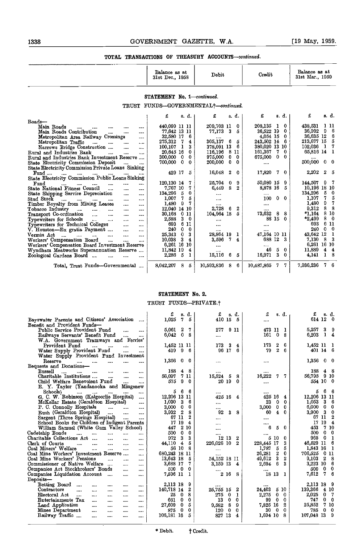| STATEMENT No. 1-continued.<br>TRUST FUNDS-GOVERNMENTAL+-continued.<br>£<br>£<br>£<br>s. d.<br>£<br>s d.<br>8. d.<br>209.703 11<br>203,135<br>438.531 1 11<br>440,099 11 11<br>-0<br>- 0<br>$\mathbf{1}$<br>Main Roads<br>$\cdots$<br>$\cdots$<br>$\cdots$<br>36,992<br>0<br>9<br>77.642 13 11<br>77,173 3<br>5<br>36,522 19<br>Main Roads Contribution<br>$\cdots$<br><br>$\cdots$<br>36,635 12<br>32,580 17<br>6<br>4,054 15<br>0<br>Metropolitan Area Railway Crossings<br>$\sim$ and $\sim$<br>$\cdots$<br>305,137 6<br>213,677 15<br>243,502 14<br>6<br>275,312<br>- 7<br>5<br>Metropolitan Traffic<br>$\sim$<br>4<br>$\mathbf{1}_{\mathbf{1}_{\mathbf{2}}\mathbf{1}_{\mathbf{3}}\mathbf{2}_{\mathbf{4}}\mathbf{3}_{\mathbf{5}}\mathbf{4}_{\mathbf{6}}$<br>$\sim 10^{-1}$<br>$\sim$ and $\sim$<br>102,036<br>$\mathbf{1}$<br>378,091 13<br>- 6<br>380,020 13 10<br>- 1<br>3<br>100,107<br>Narrows Bridge Construction<br><b>College</b><br>$\cdots$<br>65,816 14<br>8 11<br>20,645 16<br>116,196<br>161,367<br>7.<br>0<br>0<br>Rural and Industries Bank<br>and the state of<br>$\ddotsc$<br>$\cdots$<br>0<br>300,000<br>- 0<br>975,000<br>$0\quad 0$<br>675,000<br>$\mathbf{0}$<br>0<br>Rural and Industries Bank Investment Reserve<br>500,000<br>$\bf{0}$<br>$\mathbf{0}$<br>200,000<br>$\mathbf{0}$<br>$\mathbf{0}$<br>700,000<br>0<br>State Electricity Commission Deposit<br><b>Texas</b> (1997)<br>$\cdots$<br>State Electricity Commission Private Loans Sinking<br>2,202<br>$\boldsymbol{2}$<br>429 17<br>16.048<br>$\boldsymbol{2}$<br>17,820<br>$7\quad0$<br>5<br>- 0<br>Fund<br>$\cdots$<br><br>State Electricity Commission Public Loans Sinking<br>50,080 15<br>25,704<br>144,507<br>120,130 14<br>9<br>7<br>0<br>9<br>9<br>Fund<br>1.11<br>$\cdots$<br>8<br>$\mathbf{2}$<br>8,878 16<br>10,196 18 10<br>7<br>6.449<br>5<br>State National Fitness Council<br>7,767 10<br>$\mathbf{r}$<br>$\cdots$<br>$\cdots$<br>- 5<br>134,296<br>134,296<br>- 5<br>0<br>State Shipping Service Depreciation<br>$\cdots$<br>$\cdots$<br>$\sim 0.00$<br>$\cdots$<br>7<br>7<br>1,107<br>1,007<br>5<br>100<br>0 <sub>0</sub><br>and the same<br>$\sim$<br>$\cdots$<br>$\cdots$<br><b>CONTRACTOR</b><br>1,480<br>9<br>9<br>7<br>1.480<br>$\mathbf{r}$<br>$\cdots$<br>$\cdots$<br><br>9,312<br>2,728<br>8<br>12,040 14 10<br>$\bf{2}$<br>6<br>$\cdots$<br><b>Contractor</b><br><b>Service</b> College<br>$\cdots$<br>$\cdots$<br><br>73,632<br>8<br>$*1.164$<br>104.964 18<br>5<br>8<br>8<br>30,168<br>Transport Co-ordination<br>0 11<br>$\cdots$<br>$\cdots$<br>88 15<br>$*2.499$<br>8<br>3<br>$\bf{0}$<br>$\bf{0}$<br>2.588<br>$\cdots$<br><br>$\cdots$<br>6<br>6<br>693<br>693<br>11<br>$\cdots$<br><br><br><br>$\mathbf{0}$<br>240<br>0<br>V. Houston-Ex gratia Payment<br>240<br>$\bf{0}$<br>$\sim$<br><br>$\cdots$<br><br>47,164 10 11<br>43.642 12<br>25,343<br>$\mathbf{0}$<br>3<br>28,864 19<br>-1<br>$\cdots$<br>$\mathbf{r}$ and $\mathbf{r}$ are associated as a series of $\mathbf{r}$<br>$\cdots$<br>688 12 3<br>7,130<br>8<br>-3<br>7<br>10.038<br>4<br>3,596<br>4<br>Workers' Compensation Board<br>$\ddotsc$<br>$\cdots$<br><br>6,261 16 10<br>Workers' Compensation Board Investment Reserve<br>$\cdots$<br><br>46<br>0<br>11,889<br>11,842 19<br>5<br>4<br>Wyndham Meatworks Superannuation Reserve<br>4<br>$\cdots$<br>- 5<br>15.116<br>16,971<br>3.<br>$\Omega$<br>4.141<br>1<br>2,286<br>-6<br>5<br>L<br>Zoological Gardens Board<br><b>Contract Contract</b><br>-7<br>7,936,236<br>7.<br>Total, Trust Funds-Governmental<br>8.042,207<br>8<br>10,593.836<br>8<br>10,487,865<br>7.<br>5<br>-6 |       | Balance as at<br>31st Dec., 1958 | Debit | Credit | Balance as at<br>31st Mar., 1959 |
|---------------------------------------------------------------------------------------------------------------------------------------------------------------------------------------------------------------------------------------------------------------------------------------------------------------------------------------------------------------------------------------------------------------------------------------------------------------------------------------------------------------------------------------------------------------------------------------------------------------------------------------------------------------------------------------------------------------------------------------------------------------------------------------------------------------------------------------------------------------------------------------------------------------------------------------------------------------------------------------------------------------------------------------------------------------------------------------------------------------------------------------------------------------------------------------------------------------------------------------------------------------------------------------------------------------------------------------------------------------------------------------------------------------------------------------------------------------------------------------------------------------------------------------------------------------------------------------------------------------------------------------------------------------------------------------------------------------------------------------------------------------------------------------------------------------------------------------------------------------------------------------------------------------------------------------------------------------------------------------------------------------------------------------------------------------------------------------------------------------------------------------------------------------------------------------------------------------------------------------------------------------------------------------------------------------------------------------------------------------------------------------------------------------------------------------------------------------------------------------------------------------------------------------------------------------------------------------------------------------------------------------------------------------------------------------------------------------------------------------------------------------------------------------------------------------------------------------------------------------------------------------------------------------------------------------------------------------------------------------------------------------------------------------------------------------------------------------------------------------------------------------------------------------------------------------------------------------------------------------------------------------------------------------------------------------------------------------------------------------------------------------------------------------------------------------------------------------------------------------------------------------------------------------------------------------------------------------------------------------------|-------|----------------------------------|-------|--------|----------------------------------|
| Timber Royalty from Mining Leases<br>Tobacco Industry<br>Typewriters for Schools<br>Typewriters for Technical Colleges                                                                                                                                                                                                                                                                                                                                                                                                                                                                                                                                                                                                                                                                                                                                                                                                                                                                                                                                                                                                                                                                                                                                                                                                                                                                                                                                                                                                                                                                                                                                                                                                                                                                                                                                                                                                                                                                                                                                                                                                                                                                                                                                                                                                                                                                                                                                                                                                                                                                                                                                                                                                                                                                                                                                                                                                                                                                                                                                                                                                                                                                                                                                                                                                                                                                                                                                                                                                                                                                                              |       |                                  |       |        |                                  |
|                                                                                                                                                                                                                                                                                                                                                                                                                                                                                                                                                                                                                                                                                                                                                                                                                                                                                                                                                                                                                                                                                                                                                                                                                                                                                                                                                                                                                                                                                                                                                                                                                                                                                                                                                                                                                                                                                                                                                                                                                                                                                                                                                                                                                                                                                                                                                                                                                                                                                                                                                                                                                                                                                                                                                                                                                                                                                                                                                                                                                                                                                                                                                                                                                                                                                                                                                                                                                                                                                                                                                                                                                     |       |                                  |       |        |                                  |
|                                                                                                                                                                                                                                                                                                                                                                                                                                                                                                                                                                                                                                                                                                                                                                                                                                                                                                                                                                                                                                                                                                                                                                                                                                                                                                                                                                                                                                                                                                                                                                                                                                                                                                                                                                                                                                                                                                                                                                                                                                                                                                                                                                                                                                                                                                                                                                                                                                                                                                                                                                                                                                                                                                                                                                                                                                                                                                                                                                                                                                                                                                                                                                                                                                                                                                                                                                                                                                                                                                                                                                                                                     |       |                                  |       |        | s. d.                            |
| Stud Stock<br>Vermin Act                                                                                                                                                                                                                                                                                                                                                                                                                                                                                                                                                                                                                                                                                                                                                                                                                                                                                                                                                                                                                                                                                                                                                                                                                                                                                                                                                                                                                                                                                                                                                                                                                                                                                                                                                                                                                                                                                                                                                                                                                                                                                                                                                                                                                                                                                                                                                                                                                                                                                                                                                                                                                                                                                                                                                                                                                                                                                                                                                                                                                                                                                                                                                                                                                                                                                                                                                                                                                                                                                                                                                                                            | Roads |                                  |       |        |                                  |
|                                                                                                                                                                                                                                                                                                                                                                                                                                                                                                                                                                                                                                                                                                                                                                                                                                                                                                                                                                                                                                                                                                                                                                                                                                                                                                                                                                                                                                                                                                                                                                                                                                                                                                                                                                                                                                                                                                                                                                                                                                                                                                                                                                                                                                                                                                                                                                                                                                                                                                                                                                                                                                                                                                                                                                                                                                                                                                                                                                                                                                                                                                                                                                                                                                                                                                                                                                                                                                                                                                                                                                                                                     |       |                                  |       |        |                                  |
|                                                                                                                                                                                                                                                                                                                                                                                                                                                                                                                                                                                                                                                                                                                                                                                                                                                                                                                                                                                                                                                                                                                                                                                                                                                                                                                                                                                                                                                                                                                                                                                                                                                                                                                                                                                                                                                                                                                                                                                                                                                                                                                                                                                                                                                                                                                                                                                                                                                                                                                                                                                                                                                                                                                                                                                                                                                                                                                                                                                                                                                                                                                                                                                                                                                                                                                                                                                                                                                                                                                                                                                                                     |       |                                  |       |        | 6                                |
|                                                                                                                                                                                                                                                                                                                                                                                                                                                                                                                                                                                                                                                                                                                                                                                                                                                                                                                                                                                                                                                                                                                                                                                                                                                                                                                                                                                                                                                                                                                                                                                                                                                                                                                                                                                                                                                                                                                                                                                                                                                                                                                                                                                                                                                                                                                                                                                                                                                                                                                                                                                                                                                                                                                                                                                                                                                                                                                                                                                                                                                                                                                                                                                                                                                                                                                                                                                                                                                                                                                                                                                                                     |       |                                  |       |        | 6                                |
|                                                                                                                                                                                                                                                                                                                                                                                                                                                                                                                                                                                                                                                                                                                                                                                                                                                                                                                                                                                                                                                                                                                                                                                                                                                                                                                                                                                                                                                                                                                                                                                                                                                                                                                                                                                                                                                                                                                                                                                                                                                                                                                                                                                                                                                                                                                                                                                                                                                                                                                                                                                                                                                                                                                                                                                                                                                                                                                                                                                                                                                                                                                                                                                                                                                                                                                                                                                                                                                                                                                                                                                                                     |       |                                  |       |        | 5                                |
|                                                                                                                                                                                                                                                                                                                                                                                                                                                                                                                                                                                                                                                                                                                                                                                                                                                                                                                                                                                                                                                                                                                                                                                                                                                                                                                                                                                                                                                                                                                                                                                                                                                                                                                                                                                                                                                                                                                                                                                                                                                                                                                                                                                                                                                                                                                                                                                                                                                                                                                                                                                                                                                                                                                                                                                                                                                                                                                                                                                                                                                                                                                                                                                                                                                                                                                                                                                                                                                                                                                                                                                                                     |       |                                  |       |        | 7                                |
|                                                                                                                                                                                                                                                                                                                                                                                                                                                                                                                                                                                                                                                                                                                                                                                                                                                                                                                                                                                                                                                                                                                                                                                                                                                                                                                                                                                                                                                                                                                                                                                                                                                                                                                                                                                                                                                                                                                                                                                                                                                                                                                                                                                                                                                                                                                                                                                                                                                                                                                                                                                                                                                                                                                                                                                                                                                                                                                                                                                                                                                                                                                                                                                                                                                                                                                                                                                                                                                                                                                                                                                                                     |       |                                  |       |        | -1                               |
|                                                                                                                                                                                                                                                                                                                                                                                                                                                                                                                                                                                                                                                                                                                                                                                                                                                                                                                                                                                                                                                                                                                                                                                                                                                                                                                                                                                                                                                                                                                                                                                                                                                                                                                                                                                                                                                                                                                                                                                                                                                                                                                                                                                                                                                                                                                                                                                                                                                                                                                                                                                                                                                                                                                                                                                                                                                                                                                                                                                                                                                                                                                                                                                                                                                                                                                                                                                                                                                                                                                                                                                                                     |       |                                  |       |        |                                  |
|                                                                                                                                                                                                                                                                                                                                                                                                                                                                                                                                                                                                                                                                                                                                                                                                                                                                                                                                                                                                                                                                                                                                                                                                                                                                                                                                                                                                                                                                                                                                                                                                                                                                                                                                                                                                                                                                                                                                                                                                                                                                                                                                                                                                                                                                                                                                                                                                                                                                                                                                                                                                                                                                                                                                                                                                                                                                                                                                                                                                                                                                                                                                                                                                                                                                                                                                                                                                                                                                                                                                                                                                                     |       |                                  |       |        | 0                                |
|                                                                                                                                                                                                                                                                                                                                                                                                                                                                                                                                                                                                                                                                                                                                                                                                                                                                                                                                                                                                                                                                                                                                                                                                                                                                                                                                                                                                                                                                                                                                                                                                                                                                                                                                                                                                                                                                                                                                                                                                                                                                                                                                                                                                                                                                                                                                                                                                                                                                                                                                                                                                                                                                                                                                                                                                                                                                                                                                                                                                                                                                                                                                                                                                                                                                                                                                                                                                                                                                                                                                                                                                                     |       |                                  |       |        |                                  |
|                                                                                                                                                                                                                                                                                                                                                                                                                                                                                                                                                                                                                                                                                                                                                                                                                                                                                                                                                                                                                                                                                                                                                                                                                                                                                                                                                                                                                                                                                                                                                                                                                                                                                                                                                                                                                                                                                                                                                                                                                                                                                                                                                                                                                                                                                                                                                                                                                                                                                                                                                                                                                                                                                                                                                                                                                                                                                                                                                                                                                                                                                                                                                                                                                                                                                                                                                                                                                                                                                                                                                                                                                     |       |                                  |       |        | -5                               |
|                                                                                                                                                                                                                                                                                                                                                                                                                                                                                                                                                                                                                                                                                                                                                                                                                                                                                                                                                                                                                                                                                                                                                                                                                                                                                                                                                                                                                                                                                                                                                                                                                                                                                                                                                                                                                                                                                                                                                                                                                                                                                                                                                                                                                                                                                                                                                                                                                                                                                                                                                                                                                                                                                                                                                                                                                                                                                                                                                                                                                                                                                                                                                                                                                                                                                                                                                                                                                                                                                                                                                                                                                     |       |                                  |       |        |                                  |
|                                                                                                                                                                                                                                                                                                                                                                                                                                                                                                                                                                                                                                                                                                                                                                                                                                                                                                                                                                                                                                                                                                                                                                                                                                                                                                                                                                                                                                                                                                                                                                                                                                                                                                                                                                                                                                                                                                                                                                                                                                                                                                                                                                                                                                                                                                                                                                                                                                                                                                                                                                                                                                                                                                                                                                                                                                                                                                                                                                                                                                                                                                                                                                                                                                                                                                                                                                                                                                                                                                                                                                                                                     |       |                                  |       |        |                                  |
|                                                                                                                                                                                                                                                                                                                                                                                                                                                                                                                                                                                                                                                                                                                                                                                                                                                                                                                                                                                                                                                                                                                                                                                                                                                                                                                                                                                                                                                                                                                                                                                                                                                                                                                                                                                                                                                                                                                                                                                                                                                                                                                                                                                                                                                                                                                                                                                                                                                                                                                                                                                                                                                                                                                                                                                                                                                                                                                                                                                                                                                                                                                                                                                                                                                                                                                                                                                                                                                                                                                                                                                                                     |       |                                  |       |        |                                  |
|                                                                                                                                                                                                                                                                                                                                                                                                                                                                                                                                                                                                                                                                                                                                                                                                                                                                                                                                                                                                                                                                                                                                                                                                                                                                                                                                                                                                                                                                                                                                                                                                                                                                                                                                                                                                                                                                                                                                                                                                                                                                                                                                                                                                                                                                                                                                                                                                                                                                                                                                                                                                                                                                                                                                                                                                                                                                                                                                                                                                                                                                                                                                                                                                                                                                                                                                                                                                                                                                                                                                                                                                                     |       |                                  |       |        | 0                                |
|                                                                                                                                                                                                                                                                                                                                                                                                                                                                                                                                                                                                                                                                                                                                                                                                                                                                                                                                                                                                                                                                                                                                                                                                                                                                                                                                                                                                                                                                                                                                                                                                                                                                                                                                                                                                                                                                                                                                                                                                                                                                                                                                                                                                                                                                                                                                                                                                                                                                                                                                                                                                                                                                                                                                                                                                                                                                                                                                                                                                                                                                                                                                                                                                                                                                                                                                                                                                                                                                                                                                                                                                                     |       |                                  |       |        | 5                                |
|                                                                                                                                                                                                                                                                                                                                                                                                                                                                                                                                                                                                                                                                                                                                                                                                                                                                                                                                                                                                                                                                                                                                                                                                                                                                                                                                                                                                                                                                                                                                                                                                                                                                                                                                                                                                                                                                                                                                                                                                                                                                                                                                                                                                                                                                                                                                                                                                                                                                                                                                                                                                                                                                                                                                                                                                                                                                                                                                                                                                                                                                                                                                                                                                                                                                                                                                                                                                                                                                                                                                                                                                                     |       |                                  |       |        | 7                                |
|                                                                                                                                                                                                                                                                                                                                                                                                                                                                                                                                                                                                                                                                                                                                                                                                                                                                                                                                                                                                                                                                                                                                                                                                                                                                                                                                                                                                                                                                                                                                                                                                                                                                                                                                                                                                                                                                                                                                                                                                                                                                                                                                                                                                                                                                                                                                                                                                                                                                                                                                                                                                                                                                                                                                                                                                                                                                                                                                                                                                                                                                                                                                                                                                                                                                                                                                                                                                                                                                                                                                                                                                                     |       |                                  |       |        | 8                                |
|                                                                                                                                                                                                                                                                                                                                                                                                                                                                                                                                                                                                                                                                                                                                                                                                                                                                                                                                                                                                                                                                                                                                                                                                                                                                                                                                                                                                                                                                                                                                                                                                                                                                                                                                                                                                                                                                                                                                                                                                                                                                                                                                                                                                                                                                                                                                                                                                                                                                                                                                                                                                                                                                                                                                                                                                                                                                                                                                                                                                                                                                                                                                                                                                                                                                                                                                                                                                                                                                                                                                                                                                                     |       |                                  |       |        | -10                              |
|                                                                                                                                                                                                                                                                                                                                                                                                                                                                                                                                                                                                                                                                                                                                                                                                                                                                                                                                                                                                                                                                                                                                                                                                                                                                                                                                                                                                                                                                                                                                                                                                                                                                                                                                                                                                                                                                                                                                                                                                                                                                                                                                                                                                                                                                                                                                                                                                                                                                                                                                                                                                                                                                                                                                                                                                                                                                                                                                                                                                                                                                                                                                                                                                                                                                                                                                                                                                                                                                                                                                                                                                                     |       |                                  |       |        | $\boldsymbol{0}$                 |
|                                                                                                                                                                                                                                                                                                                                                                                                                                                                                                                                                                                                                                                                                                                                                                                                                                                                                                                                                                                                                                                                                                                                                                                                                                                                                                                                                                                                                                                                                                                                                                                                                                                                                                                                                                                                                                                                                                                                                                                                                                                                                                                                                                                                                                                                                                                                                                                                                                                                                                                                                                                                                                                                                                                                                                                                                                                                                                                                                                                                                                                                                                                                                                                                                                                                                                                                                                                                                                                                                                                                                                                                                     |       |                                  |       |        | -11                              |
|                                                                                                                                                                                                                                                                                                                                                                                                                                                                                                                                                                                                                                                                                                                                                                                                                                                                                                                                                                                                                                                                                                                                                                                                                                                                                                                                                                                                                                                                                                                                                                                                                                                                                                                                                                                                                                                                                                                                                                                                                                                                                                                                                                                                                                                                                                                                                                                                                                                                                                                                                                                                                                                                                                                                                                                                                                                                                                                                                                                                                                                                                                                                                                                                                                                                                                                                                                                                                                                                                                                                                                                                                     |       |                                  |       |        | 0                                |
|                                                                                                                                                                                                                                                                                                                                                                                                                                                                                                                                                                                                                                                                                                                                                                                                                                                                                                                                                                                                                                                                                                                                                                                                                                                                                                                                                                                                                                                                                                                                                                                                                                                                                                                                                                                                                                                                                                                                                                                                                                                                                                                                                                                                                                                                                                                                                                                                                                                                                                                                                                                                                                                                                                                                                                                                                                                                                                                                                                                                                                                                                                                                                                                                                                                                                                                                                                                                                                                                                                                                                                                                                     |       |                                  |       |        | 1                                |
|                                                                                                                                                                                                                                                                                                                                                                                                                                                                                                                                                                                                                                                                                                                                                                                                                                                                                                                                                                                                                                                                                                                                                                                                                                                                                                                                                                                                                                                                                                                                                                                                                                                                                                                                                                                                                                                                                                                                                                                                                                                                                                                                                                                                                                                                                                                                                                                                                                                                                                                                                                                                                                                                                                                                                                                                                                                                                                                                                                                                                                                                                                                                                                                                                                                                                                                                                                                                                                                                                                                                                                                                                     |       |                                  |       |        | 3                                |
|                                                                                                                                                                                                                                                                                                                                                                                                                                                                                                                                                                                                                                                                                                                                                                                                                                                                                                                                                                                                                                                                                                                                                                                                                                                                                                                                                                                                                                                                                                                                                                                                                                                                                                                                                                                                                                                                                                                                                                                                                                                                                                                                                                                                                                                                                                                                                                                                                                                                                                                                                                                                                                                                                                                                                                                                                                                                                                                                                                                                                                                                                                                                                                                                                                                                                                                                                                                                                                                                                                                                                                                                                     |       |                                  |       |        | 6,261 16 10                      |
|                                                                                                                                                                                                                                                                                                                                                                                                                                                                                                                                                                                                                                                                                                                                                                                                                                                                                                                                                                                                                                                                                                                                                                                                                                                                                                                                                                                                                                                                                                                                                                                                                                                                                                                                                                                                                                                                                                                                                                                                                                                                                                                                                                                                                                                                                                                                                                                                                                                                                                                                                                                                                                                                                                                                                                                                                                                                                                                                                                                                                                                                                                                                                                                                                                                                                                                                                                                                                                                                                                                                                                                                                     |       |                                  |       |        | 4                                |
|                                                                                                                                                                                                                                                                                                                                                                                                                                                                                                                                                                                                                                                                                                                                                                                                                                                                                                                                                                                                                                                                                                                                                                                                                                                                                                                                                                                                                                                                                                                                                                                                                                                                                                                                                                                                                                                                                                                                                                                                                                                                                                                                                                                                                                                                                                                                                                                                                                                                                                                                                                                                                                                                                                                                                                                                                                                                                                                                                                                                                                                                                                                                                                                                                                                                                                                                                                                                                                                                                                                                                                                                                     |       |                                  |       |        | 8                                |
|                                                                                                                                                                                                                                                                                                                                                                                                                                                                                                                                                                                                                                                                                                                                                                                                                                                                                                                                                                                                                                                                                                                                                                                                                                                                                                                                                                                                                                                                                                                                                                                                                                                                                                                                                                                                                                                                                                                                                                                                                                                                                                                                                                                                                                                                                                                                                                                                                                                                                                                                                                                                                                                                                                                                                                                                                                                                                                                                                                                                                                                                                                                                                                                                                                                                                                                                                                                                                                                                                                                                                                                                                     |       |                                  |       |        | 6                                |

#### STATEMENT No. 2.

#### TRUST FUNDS-PRIVATE.<sup>†</sup>

|                                                                                     | £<br>s. d.                            | £<br>s d                            | £<br>s. d.                                | s. d.                                |
|-------------------------------------------------------------------------------------|---------------------------------------|-------------------------------------|-------------------------------------------|--------------------------------------|
| Bayswater Parents and Citizens' Association                                         | 1,025<br>7.<br>5                      | 410 15<br>- 5                       |                                           | 614 12 0                             |
| Benefit and Provident Funds-                                                        |                                       |                                     |                                           |                                      |
| Public Service Provident Fund<br>$\cdots$<br>$\cdots$                               | $\boldsymbol{2}$<br>7<br>5,061        | 277<br>911                          | 473 11<br>$\mathbf{1}$                    | -3<br>5,257<br>9                     |
| Railways Servants' Benefit Fund<br>$\cdots$<br>$\cdots$                             | $\mathbf{0}$<br>6,042<br>8            | $\cdots$                            | 161<br>$\mathbf{0}$<br>8                  | 6,203<br>$\mathbf{1}$<br>4           |
| W.A. Government Tramways and Ferries'                                               |                                       |                                     |                                           |                                      |
| Provident Fund<br>$\cdots$<br>$\cdots$<br>$\cdots$<br>$\cdots$                      | 1,452 11 11                           | 173<br>3<br>4                       | 173<br>2<br>6                             | 1,452 11<br>- 1                      |
| Water Supply Provident Fund<br>$\cdots$<br>$\cdots$                                 | -9<br>- 6<br>419                      | 96 17<br>6                          | $\overline{2}$<br>6<br>79                 | 401 14 6                             |
| Water Supply Provident Fund Investment                                              |                                       |                                     |                                           |                                      |
| Reserve<br>$\cdots$<br>$\cdots$<br>$\cdots$<br>$\cdots$<br>$\cdots$                 | 1,356<br>$0\quad 0$                   |                                     |                                           | 1,356<br>$\mathbf{0}$<br>-0          |
| Bequests and Donations-                                                             |                                       |                                     |                                           |                                      |
| Bussell<br>$\sim 100$<br>$\cdots$ .<br>$\cdots$<br>$\cdots$<br>$\cdots$<br>$\cdots$ | - 8<br>188<br>$\overline{4}$          |                                     |                                           | 188<br>48                            |
| Charitable Institutions<br>$\cdots$<br>$\cdots$<br>$\cdots$                         | 7 11<br>56,097                        | 15,524<br>5<br>8                    | 16,222<br>7<br>7.                         | 56,795 9 10                          |
| Child Welfare Benevolent Fund<br>1.11<br>$\cdots$                                   | 9<br>- 0<br>575                       | 20 19<br>$\Omega$                   |                                           | 554 10 0                             |
| E. Y. Taylor (Yandanooka and Mingenew                                               |                                       |                                     |                                           |                                      |
| Schools)<br>assault of the<br>$\cdots$<br>$\cdots$                                  | 5<br>6<br>6                           |                                     |                                           | 6<br>5                               |
| G. C. W. Robinson (Kalgoorlie Hospital)<br>$\cdots$                                 | 12,206 13 11                          | 425 16<br>4                         | 425 16<br>4                               | 12,206 13 11                         |
| McKellar Estate (Geraldton Hospital)<br>$\cdots$                                    | 1,030<br>3<br>6                       | $\cdots$                            | 23<br>$\bf{0}$<br>$\bf{0}$                | 1.053<br>- 3<br>6                    |
| P. C. Connolly Hospitals<br>$\cdots$<br>$\cdots$                                    | $\bf{0}$<br>0<br>3,000                |                                     | 3,000<br>$\mathbf{0}$<br>0                | $6,000 \quad 0$<br>0                 |
| Rush (Geraldton Hospital)<br>$\cdots$<br>$\cdots$                                   | $\mathbf{2}$<br>3,932<br>8            | 8<br>92<br>3                        | 60<br>$\bf{4}$<br>0                       | $3,900 \quad 3$<br>0                 |
| Sargent (Three Springs Hospital)<br>$\cdots$<br>$\cdots$                            | $\boldsymbol{2}$<br>67 11             | $\cdots$                            |                                           | 67 11                                |
| School Books for Children of Indigent Parents                                       | 17 19<br>$\overline{4}$               |                                     |                                           | 17 19<br>$\boldsymbol{4}$            |
| William Samuel (White Gum Valley School)                                            | 447 2 10                              | $\cdots$                            | 6<br>5<br>- 0                             | 453<br>7 10                          |
| Cadetship Bonds<br>$\cdots$<br>and a<br>1.111<br>$\cdots$<br>$\cdots$               | $\mathbf{0}$<br>$\overline{0}$<br>500 |                                     |                                           | 500<br>$\Omega$<br>$^{\circ}$        |
| Charitable Collections Act<br>$\cdots$<br>$\cdots$<br>$\cdots$                      | 3<br>972<br>3                         | $\mathbf{2}$<br>12 13               | 5 10<br>0                                 | 965<br>$\bf{0}$<br>$\mathbf{I}$      |
| Clerk of Courts<br><b>Sales Control</b><br>$\cdots$<br>$\cdots$<br><br>$\cdots$     | 44,110<br>$\overline{4}$<br>- 5       | 226,026 10<br>$\mathbf{2}$          | 228,445 17<br>3                           | 46,529 11<br>-6                      |
| Coal Miners' Welfare<br>$\cdots$<br>$\cdots$<br>$\cdots$<br>$\cdots$                | 56 10<br>- 8                          | $\cdots$                            | 5<br>1,787<br>$-5$                        | 1,843 16<br>-1                       |
| Coal Mine Workers' Investment Reserve<br>$\cdots$                                   | 680,243 18 11                         |                                     | $\bf{2}$<br>0<br>26,281                   | 706,525 0 11                         |
| Coal Mine Workers' Pensions<br>$\cdots$<br>$\cdots$<br>$\cdots$                     | 13,643 13<br>- 5<br>7                 | 54.152 18 11                        | 3<br>$\boldsymbol{2}$<br>49,612<br>6<br>3 | $\overline{2}$<br>9.103<br>-8<br>-6  |
| Commissioner of Native Welfare<br>$\cdots$<br>$\cdots$                              | 3,688 17<br>500 0<br>$\bf{0}$         | 3.159 13<br>$\overline{\mathbf{4}}$ | 2,694                                     | 3,223 10<br>500<br>$\mathbf{0}$<br>0 |
| Companies Act Stockbrokers' Bonds<br>$\cdots$<br>$\cdots$                           | 7.596 11<br>$\mathbf{1}$              | $\cdots$<br>2 16 8                  | <br>18 13 1                               | 7,612<br>7.<br>6                     |
| Companies Liquidation Account<br>$\cdots$<br>$\cdots$<br>Deposits-                  |                                       |                                     |                                           |                                      |
| Betting Board                                                                       | 2,113 18<br>- 9                       |                                     |                                           | 2,113 18 9                           |
| $\cdots$<br><br><br><br>$\cdots$<br>Contractors                                     | 140,718 14<br>$\boldsymbol{2}$        | <br>25,755 15<br>$\boldsymbol{2}$   | <br>24,403<br>5 10                        | 139,366 4 10                         |
| $\cdots$<br>$\cdots$<br><br>$\cdots$<br>$\cdots$<br>Electoral Act<br>$\cdots$       | 8<br>$\mathbf{0}$<br>25               | - 0<br>275<br>1                     | 2,275<br>- 0<br>0                         | 2,025<br>$\mathbf{0}$<br>-7          |
| $\cdots$<br><br><br>$\cdots$<br>Entertainments Tax                                  | $\bf{0}$<br>$\bf{0}$<br>661           | 13<br>0<br>0                        | 99<br>0<br>0                              | $\bf{0}$<br>747<br>$\Omega$          |
| $\cdots$<br>$\cdots$<br>$\cdots$<br>$\cdots$<br>Land Application                    | $\mathbf{0}$<br>5<br>27,609           | 8<br>9<br>9.582                     | 7,825 16<br>-2                            | 25,352<br>-7-10                      |
| $\cdots$<br>$\cdots$<br><br><br>Mines Department<br>$\cdots$<br>                    | 0<br>$\bf{0}$<br>875                  | 0<br>$\mathbf{0}$<br>120            | $30\quad 0$<br>$\mathbf{0}$               | $0\quad 0$<br>785                    |
| <br><br>Railway Traffic<br>$\cdots$<br><br>                                         | 106,181 16<br>5                       | 327<br>13<br>$\bf{4}$               | $1,694$ 10<br>- 3                         | 107,048 13<br>9                      |
|                                                                                     |                                       |                                     |                                           |                                      |
|                                                                                     |                                       |                                     |                                           |                                      |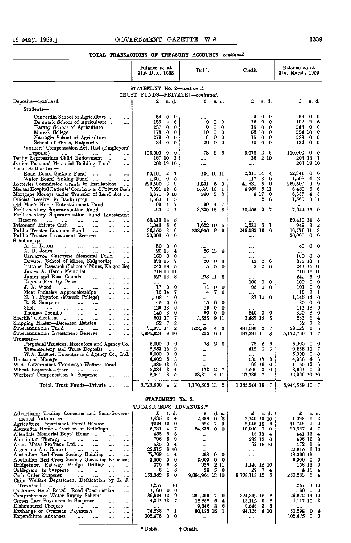#### 19 May, 1959.] GOVERNMENT GAZETTE, W.A. 1339

#### TOTAL TRANSACTIONS OF TREASURY ACCOUNTS-continued.

|                                                                                                                          | Balance as at<br>31st Dec., 1958   | Debit                            | Credit                                                 | Balance as at<br>31st March, 1959                  |
|--------------------------------------------------------------------------------------------------------------------------|------------------------------------|----------------------------------|--------------------------------------------------------|----------------------------------------------------|
|                                                                                                                          | STATEMENT No. 2-continued.         |                                  |                                                        |                                                    |
|                                                                                                                          | TRUST FUNDS-PRIVATE+-continued.    |                                  |                                                        |                                                    |
| Deposits-continued.                                                                                                      | £<br>s. d.                         | £<br>s. d.                       | £<br>s. d.                                             | £<br>s. d.                                         |
| $\texttt{Students}-$                                                                                                     |                                    |                                  |                                                        |                                                    |
|                                                                                                                          |                                    |                                  |                                                        |                                                    |
| Cunderdin School of Agriculture<br>                                                                                      | 540<br>-0<br>186 2<br>6            | <br>$\mathbf 0$<br>9<br>$\bf{0}$ | 9<br>0<br>$^{\circ}$<br>$\mathbf{0}$<br>15<br>$\bf{0}$ | 63<br>$\mathbf 0$<br>0<br>192<br>$\mathbf{2}$<br>6 |
| Denmark School of Agriculture<br>Harvey School of Agriculture                                                            | 237 0<br>$\mathbf 0$               | 9<br>$\mathbf 0$<br>0            | 15<br>$0\quad 0$                                       | 243 0<br>$\bf{0}$                                  |
| $\cdots$<br>Muresk College<br>$\cdots$ $\cdots$<br><br>$\cdots$                                                          | 178<br>$\mathbf{0}$<br>0           | $\mathbf 0$<br>10<br>0           | 56 10 0                                                | 224 10<br>0                                        |
| Marrogin School of Agriculture<br>                                                                                       | 279 0<br>$\Omega$                  | $\mathbf 0$<br>6<br>0            | 150<br>$\bf{0}$                                        | 288 0<br>$\mathbf 0$                               |
| School of Mines, Kalgoorlie<br>$\cdots$                                                                                  | $34\quad0$<br>$\mathbf 0$          | 20<br>$\mathbf 0$<br>0           | 110<br>$\mathbf{0}$<br>0                               | $124 \quad 0$<br>$\Omega$                          |
| Workers' Compensation Act, 1924 (Employers'                                                                              |                                    |                                  |                                                        |                                                    |
| Deposits)<br><b>Contract</b><br>$\cdots$<br>$\cdots$                                                                     | 105,000 0<br>0                     | 78<br>$\boldsymbol{2}$<br>6      | 5.078<br>2<br>- 6                                      | 110,000 0<br>$\Omega$                              |
| Derby Leprosarium Child Endowment<br>$\cdots$                                                                            | 167 10 3                           | $\cdots$                         | 2 10<br>36                                             | 203 13 1                                           |
| Junior Farmers' Memorial Building Fund<br><br>Local Authorities-                                                         | 203 19 10                          |                                  | $\cdots$                                               | 203 19 10                                          |
| Road Board Sinking Fund<br><br>$\cdots$                                                                                  | 50.164 2<br>7                      | 134 16 11                        | 2.311 14 4                                             | 52.341<br>0<br>$\mathbf 0$                         |
| Water Board Sinking Fund<br>$\cdots$<br>                                                                                 | $1.391$ 0<br>5                     |                                  | 3<br>9<br>117                                          | 1,508<br>$\overline{\mathbf{4}}$<br>-2             |
| Lotteries Commission Grants to Institutions<br>$\cdots$                                                                  | 229,500 3<br>9                     | 1,831 5<br>$\bf{0}$              | 41,331<br>б<br>$\bullet$                               | 269,500 3<br>-9                                    |
| Mental Hospital Patients' Comforts and Private Cash                                                                      | 7,021 12<br>8                      | 5,557 16<br>1                    | 4,986 8 11                                             | 5<br>6<br>6,450                                    |
| Mortgage Moneys under Transfer of Land Act                                                                               | 6.671 9 10                         | -3<br>3<br>340                   | 4 17<br>8                                              | $6,336$ 4 3                                        |
| Official Receiver in Bankruptcy<br><br>                                                                                  | 1,560 1<br>5<br>7                  | 7                                | 2<br>- 6                                               | 1,560 3 11                                         |
| Old Men's Home Entertainment Fund<br>$\cdots$<br>.<br><br>Parliamentary Superannuation Fund                              | $\overline{4}$<br>99<br>420 2<br>1 | 99<br>4<br>3,230 16<br>8         | 10,455<br>9<br>- 7                                     | <br>7,644 15 0                                     |
| $\cdots$<br>$\cdots$<br>Parliamentary Superannuation Fund Investment                                                     |                                    |                                  |                                                        |                                                    |
| Reserve<br>$\cdots$<br>$\cdots$<br>$\cdots$<br>$\cdots$<br>$\cdots$                                                      | 50,410 14<br>5                     |                                  |                                                        | 50,410 14<br>5                                     |
| Prisoners' Private Cash<br><br><br>                                                                                      | 1.040 8<br>6                       | 1,622 10<br>5                    | $1.531 \quad 5 \quad 1$                                | 949 3<br>2                                         |
| Public Trustee Common Fund<br><br><br>                                                                                   | 6<br>36,150 3                      | - 8<br>9<br>268,956              | 249,582 16 6                                           | -3<br>16,776 11                                    |
| Public Trustee Investment Reserve<br><br>                                                                                | 20,000 0<br>0                      | $\cdots$                         |                                                        | 20,000 0<br>0                                      |
| ${\rm Scholarships}$ —                                                                                                   |                                    |                                  |                                                        |                                                    |
| A. L. Loton<br>$\cdots$<br>$\cdots$<br>$\cdots$<br>$\cdots$<br><br>A. R. Jones                                           | 800<br>-0                          |                                  | $\cdots$                                               | 80<br>$\mathbf{o}$<br>-0                           |
| $\cdots$<br><br>Carnarvon Gascoyne Memorial Fund                                                                         | 26 13<br>4<br>160 0<br>$\bf{0}$    | 26 13 4                          |                                                        | 160 0<br>0                                         |
| <br>Dowson (School of Mines, Kalgoorlie)                                                                                 | 879 15<br>7                        | 20<br>$\bf{0}$<br>$\bf{0}$       | $\boldsymbol{2}$<br>6<br>13                            | 872 18<br>$\mathbf{1}$                             |
| Falconer Research (School of Mines, Kalgoorlie)                                                                          | 243 18 5                           | 5<br>5<br>0                      | $\mathbf 2$<br>3<br>6                                  | 241 15 11                                          |
| James A. Heron Memorial<br>$\cdots$<br><br>$\cdots$                                                                      | 719 16 11                          |                                  | $\cdots$                                               | 719 16 11                                          |
| James and Rose Coombs<br>$\cdots$<br><br>                                                                                | 527 16<br>- 8                      | 278 11<br>8                      |                                                        | 249 5<br>- 0                                       |
| Keynes Forestry Prize<br>$\cdots$<br>$\cdots$<br>                                                                        |                                    |                                  | 0<br>100<br>$\bf{0}$                                   | 100 0<br>- 0                                       |
| J. A. Wood<br>$\cdots$<br>$\cdots$<br>$\cdots$<br>$\cdots$                                                               | 170<br>$\mathbf 0$                 | $\mathbf 0$<br>0<br>11           | 95<br>$\mathbf{0}$<br>0                                | 101 0<br>0                                         |
| Meat Industry Apprenticeships<br><br>                                                                                    | 16 14<br>-7                        | 7<br>4<br>6                      | 37 10 0                                                | - 7<br>12<br>1<br>1,145 14<br>0                    |
| N. F. Poynton (Muresk College)<br>$\ldots$<br>$\cdots$<br>R. S. Sampson<br>$\cdots$<br>$\ldots$<br>$\cdots$<br>$\ddotsc$ | 1.108 4<br>0<br>45 0<br>0          | 0<br>0<br>15                     |                                                        | 30 O<br>0                                          |
| Shell<br>$\sim$<br><br>$\cdots$<br><br>                                                                                  | 126 18<br>6                        | $\mathbf{0}$<br>15<br>$\Omega$   | $\cdots$                                               | 111 18<br>6                                        |
| Thomas Coombe<br>$\cdots$<br>$\cdots$<br>$\cdots$<br>$\cdots$                                                            | 1408<br>$\mathbf 0$                | 60<br>$\mathbf 0$<br>$\Omega$    | $\mathbf{0}$<br>240<br>0                               | 320 8<br>$\Omega$                                  |
| Sheriffs' Collections<br><br><br>                                                                                        | 601 17<br>7                        | 3,858<br>9 11                    | 3,489 18<br>8                                          | 233 6<br>4                                         |
| Shipping Master-Deceased Estates<br><br>$\cdots$                                                                         | 52 7<br>3                          |                                  |                                                        | 7<br>52<br>3                                       |
| Superannuation Fund<br><br><br>                                                                                          | - 2<br>71,071 14                   | 523,534 14 3                     | 481,586<br>- 2<br>7                                    | 29,123<br>$\bf{2}$<br>6                            |
| Superannuation Investment Reserve<br>$\cdots$<br>                                                                        | 4,985,624 9 10                     | 255 16 11                        | 187,391 11 8                                           | $\overline{\mathbf{4}}$<br>7<br>5,172,760          |
| Trustees—<br>Perpetual Trustees, Executors and Agency Co.                                                                | $5,000 \quad 0$<br>-0              | $\mathbf{2}$<br>78<br>6          | $\mathbf{2}$<br>6<br>78                                | $5,000 \quad 0$<br>0                               |
| Testamentary and Trust Deposits                                                                                          | 8,853 13<br>$\mathbf 2$            |                                  | 6<br>412<br>5                                          | 9,265 19<br>7                                      |
| W.A. Trustee, Executor and Agency Co., Ltd.                                                                              | 5,000 0<br>0                       |                                  | $\cdots$                                               | 5,000 0<br>0                                       |
| Unclaimed Moneys<br>                                                                                                     | 4.402 6<br>3                       |                                  | 3<br>535 18                                            | 4.938 4<br>6                                       |
| W.A. Government Tramways Welfare Fund<br>                                                                                | 6<br>1,085 13                      |                                  | $\mathbf 0$<br>69 19                                   | 1,155 12<br>6                                      |
| Wheat Research-State<br><b>Service</b> Contract<br>$\cdots$<br>                                                          | 2,334 3<br>4                       | $\boldsymbol{2}$<br>173<br>- 7   | $\bf{0}$<br>1,500<br>$\mathbf{0}$                      | 3,661 0 9                                          |
| Workers' Compensation in Suspense                                                                                        | - 8<br>5<br>8,541                  | 4 11<br>23,314                   | 27,739<br>$7\phantom{.0}$<br>4                         | 12,966 10 10                                       |
| <br>                                                                                                                     |                                    |                                  |                                                        |                                                    |
| Total, Trust Funds-Private<br>                                                                                           | $6,729,850 \quad 4 \quad 2$        | 1,170,505 13 2                   | 1,385,244 19 7                                         | 6,944,589 10<br>7                                  |

|                                                                                | TREASURER'S ADVANCES.*   |                                    |                                  |                          |
|--------------------------------------------------------------------------------|--------------------------|------------------------------------|----------------------------------|--------------------------|
| Advertising Trading Concerns and Semi-Govern-                                  | £<br>s. d.               | d. s.<br>£                         | £<br>s. d.                       | £<br>s. d.               |
| mental Authorities<br>$\cdots$<br>$\cdots$<br>$\cdots$<br>$\cdots$             | 1,435<br>3<br>4          | 2,398 16                           | 2,740 13 10                      | 1,093<br>6.              |
| Agriculture Department Petrol Bowser<br>$\cdots$                               | 1224 12                  | 524 17<br>9                        | 2.046 15<br>- 6                  | †1,746<br>-9             |
| Alexandra Home-Erection of Buildings<br>1.111                                  | 5,731<br>-4              | 24,836<br>$\bf{0}$<br>$\mathbf{0}$ | $10,000 \quad 0$<br>$\mathbf{0}$ | 20,567<br>$\overline{4}$ |
| Allendale Memorial Boys' Home<br>$\cdots$<br>1.111                             | 6<br>458                 | $\cdots$                           | 16 13<br>4                       | 441 13<br>4              |
| Aluminium Therapy<br>$\sim$<br>$\mathbf{r}$<br>                                | -5<br>796                | $\cdots$                           | 299 13<br>$\Omega$               | 496 12<br>ാ              |
| Arcus Metal Products Ltd<br>$\sim$ $\sim$<br>$\cdots$<br>$\cdots$              | 535<br>$\mathbf{0}$<br>4 | $\cdots$                           | 62 18 10                         | 472                      |
| Argentine Ant Control<br>$\cdots$<br>$\cdots$<br>$\cdots$<br>1.11 <sub>1</sub> | 22.815<br>6 10           |                                    | $\cdots$                         | 22,815 6 10              |
| Australian Red Cross Society Building<br>$\cdots$<br>$\cdots$                  | 77.768<br>4<br>4         | 298<br>-9.<br>0                    | $\cdots$                         | 78,066 13<br>-4          |
| Australian Red Cross Society Operating Expenses                                | 3.000<br>0<br>0          | 3,000<br>$0\quad 0$                |                                  | $6,000 \quad 0$          |
| Bridgetown Railway Bridge Drilling<br>$\cdots$<br>$\cdots$                     | 379<br>6                 | 926<br>2 11                        | 1,146 15 10                      | 158 13<br>-9             |
| Cablegrams in Suspense<br>$\cdots$<br>$\cdots$<br>                             | 8<br>8                   | 26<br>5<br>$\mathbf{0}$            | 29<br>7<br>$\overline{4}$        | 4 19<br>4                |
| Cash Order Suspense<br>$\cdots$<br>$\cdots$<br><br>                            | 153,382 5                | 9,884,964 13 10                    | 9,778,113 12<br>6.               | 260,233 6<br>4           |
| Child Welfare Department Defalcation by L. J.                                  |                          |                                    |                                  |                          |
| Townsend<br><b>Sales Contractor</b><br>$\cdots$<br>$\cdots$<br>1.111           | 1.257 1 10               | 1.111                              | 1.111                            | $1,257 \quad 110$        |
| Cockburn Road Board-Road Construction<br>$\cdots$                              | $1,160$ 0<br>$\mathbf 0$ |                                    |                                  | 1,160<br>$0\quad 0$      |
| Comprehensive Water Supply Scheme<br>$\cdots$<br>$\cdots$                      | 89,924 12<br>9           | 261,290 17                         | 324,342 15<br>8                  | 26,872 14 10             |
| Crown Law Payments in Suspense<br>$\cdots$<br>1.11                             | 4.341 13                 | 12,888<br>6.<br>4                  | 13.112<br>9<br>8                 | 4,117 10 3               |
| Dishonoured Cheques<br><b>Service</b> Contractor<br>$\cdots$<br>$\cdots$<br>   |                          | 9,546<br>3<br>6                    | 9,546<br>3<br>6.                 |                          |
| Exchange on Overseas Payments<br><br>1.11                                      | 74,238<br>71             | 80,185 18                          | 94,126<br>410                    | 60,298 0 4               |
| Expenditure Advances<br>$\cdots$<br>$\cdots$<br><br>                           | 302,475<br>$\mathbf{0}$  |                                    |                                  | 302,475<br>$0\quad 0$    |
|                                                                                |                          |                                    |                                  |                          |

STATEMEN T No. 3.

\* Debit.

Credit.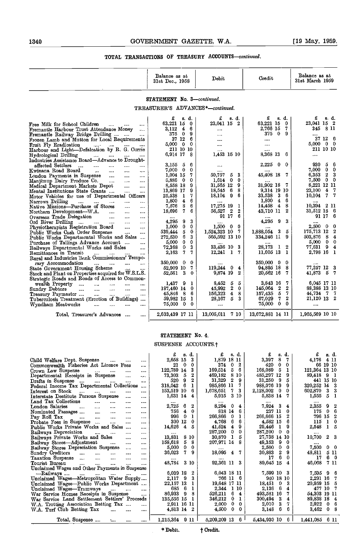|                                                                                                                  | Balance as at<br>31st Dec., 1958   | Debit                               | Credit                                 | Balance as at<br>31st March 1959                              |
|------------------------------------------------------------------------------------------------------------------|------------------------------------|-------------------------------------|----------------------------------------|---------------------------------------------------------------|
|                                                                                                                  | STATEMENT No. 3-continued.         |                                     |                                        |                                                               |
|                                                                                                                  | TREASURER'S ADVANCES*-continued.   |                                     |                                        |                                                               |
|                                                                                                                  | £<br>s. d.                         | £<br>s. d.                          | £<br>s. d.                             | £<br>s. d.                                                    |
| Free Milk for School Children<br>$\cdots$<br>                                                                    | 63,221 15<br>0                     | 23,041 15 2                         | 63,221 15<br>0                         | 23.041 15 2                                                   |
| Fremantle Harbour Trust Attendance Money<br>$\cdots$                                                             | $\overline{4}$<br>3.112<br>6       | $\cdots$                            | 2,766 15<br>7                          | 345<br>-811                                                   |
| Fremantle Railway Bridge Drilling                                                                                | 375 0<br>9                         | $\cdots$                            | 375<br>$\mathbf{0}$<br>9               |                                                               |
| Frozen Lamb and Mutton for Local Requirements                                                                    | 6<br>37 12                         |                                     | $\cdots$                               | 37 12<br>6                                                    |
| Fruit Fly Eradication<br>Fruit Fly Eradication<br>Harbour and Light-Defalcation by R. G. Currie                  | $5,000 \quad 0$<br>-0              |                                     |                                        | $5,000 \quad 0 \quad 0$                                       |
|                                                                                                                  | 211 10 10                          |                                     | $\cdots$                               | 211 10 10                                                     |
| Hydrological Drilling<br>and the state of the<br>1.111                                                           | 6,914 17<br>-8                     | 1,453 15 10                         | 8,368 13<br>6                          |                                                               |
| Industries Assistance Board—Advance to Drought-                                                                  | 3.155 5<br>6                       |                                     | 2,225<br>0<br>$\theta$                 | 930<br>5<br>6                                                 |
| affected Settlers<br>$\sim$<br>$\cdots$<br><br>$\cdots$<br><br>Kwinana Road Board                                | 0<br>$7,000 \quad 0$               | $\cdots$                            | 1111                                   | $7.000 \quad 0$<br>$\Omega$                                   |
| $\sim 10^{-11}$<br>and a<br>$\mathbf{r}$<br>4444<br>London Payments in Suspense<br>and i<br>$\cdots$<br>$\cdots$ | 1.004 15<br>7                      | <br>50,757<br>5<br>3                | 45,408 18<br>7                         | 6.353<br>$\mathbf{2}$<br>-3                                   |
| Manjimup Dairy Produce Co.<br>$\sim$ $\sim$<br>                                                                  | 5,886 0<br>0                       | 0<br>1.614<br>0                     | $\cdots$                               | 7,500 0<br>- 0                                                |
| Medical Department Markets Depot<br>$\cdots$<br>$\cdots$                                                         | 8,558 18<br>9                      | 31,565 12<br>9                      | 31,902 18<br>7                         | 8,221 12 11                                                   |
| Mental Institutions State Grants<br>$\sim$ $\sim$<br>$\cdots$                                                    | 13,869 17<br>9                     | 6<br>8<br>18,545                    | 9,314 19 10                            | 23.100<br>$\overline{4}$<br>-7                                |
| Motor Vehicles for use of Departmental Officers                                                                  | 7<br>25,538<br>- 1                 | 9<br>18,104<br>6                    | 33,538<br>3<br>6                       | 10,104 7<br>-7                                                |
| Narrows Drilling<br>$\cdots$<br>$\cdots$<br>$\cdots$                                                             | $1,800 \quad 4$<br>6               |                                     | 1,800<br>6<br>$\overline{\mathbf{4}}$  | $\cdots$                                                      |
| Native Missions-Purchase of Stores<br>$\cdots$<br>$\cdots$                                                       | 8<br>6<br>7,576                    | 17,275 19<br>1                      | 8<br>14.458<br>4                       | 10.394 2 11                                                   |
| Northern Development---W.A.<br>$\ddotsc$<br>$\cdots$<br>$\cdots$                                                 | 7<br>6<br>18,696                   | $\mathbf{2}$<br>$\bf{2}$<br>56,527  | $\boldsymbol{2}$<br>43,710 11          | $31,512$ 18 6                                                 |
| Overseas Trade Delegation<br>$\ddotsc$<br><b>Secure</b><br>$\cdots$                                              |                                    | 91 17<br>6                          |                                        | 91 17 6                                                       |
| Ord River Drilling<br>$\sim$<br>$\cdots$                                                                         | 4,295<br>9<br>3                    |                                     | 4,295<br>3<br>9                        |                                                               |
| Physiotherapists Registration Board<br>$\cdots$<br>$\cdots$                                                      | 1,000<br>$\bf{0}$<br>$\bf{0}$      | 1,500<br>$\overline{0}$<br>$\Omega$ |                                        | 2,500 0<br>-0                                                 |
| Public Works Cash Order Suspense<br>$\sim$<br>$\cdots$                                                           | 5<br>$\mathbf 0$<br>539,444        | 1,524,323 10<br>7                   | 3<br>1.888,054<br>5                    | 175,713 12<br>2                                               |
| Public Works Departmental Works and Sales                                                                        | 6<br>3<br>272.530<br>$\bf{0}$<br>0 | 565,592 13 10                       | 334,246 11<br>9                        | 503,876 8<br>$\overline{\mathbf{4}}$<br>$5,000 \quad 0$<br>-0 |
| Purchase of Tailings Advance Account<br>                                                                         | 5.000<br>72.368<br>0<br>3          | <br>33,436 10 3                     | <br>28,173<br>2<br>1                   | 77,631 9<br>$\overline{\mathbf{4}}$                           |
| Railways Departmental Works and Sales<br><br>Remittances in Transit                                              | 7<br>7.<br>2,163                   | 12,241<br>$\mathbf{1}$<br>7.        | 11,605 13<br>1                         | 2,798 16 1                                                    |
| <br><br>Rural and Industries Bank Commissioners' Tempo-                                                          |                                    |                                     |                                        |                                                               |
| rary Accommodation<br>and the state                                                                              | 350,000<br>$\mathbf{0}$<br>0       |                                     | 350,000<br>-0<br>0                     | $1 - 11$                                                      |
| State Government Housing Scheme                                                                                  | 7<br>52.909 10                     | 119,244<br>0.<br>4                  | 94.895 18<br>8                         | 77,257 12 3                                                   |
| Stock and Plant on Properties acquired for W.S.L.S.                                                              | 3<br>52,561<br>0                   | $\overline{2}$<br>9,874 19          | 7<br>20,562 16                         | 41,873 5<br>7                                                 |
| Strategic Roads and Roads of Access to Common-                                                                   |                                    |                                     |                                        |                                                               |
| wealth Property<br>$\sim 10^{-11}$<br><br><br>$\cdots$                                                           | 9<br>1.437<br>-1                   | 8,452<br>5<br>5                     | 7<br>3.843 16                          | 6,045 17 11                                                   |
| Sundry Debtors<br>$\cdots$<br>$\cdots$<br>$\cdots$<br><br>$\cdots$                                               | 187,460 14 0                       | 2<br>$\bf{0}$<br>45,992             | $\mathbf 2$<br>145,064<br>$\mathbf{2}$ | 88,388 13 10                                                  |
| Treasury Paymaster<br>$\cdots$<br>$\cdots$<br>$\cdots$<br>$\cdots$                                               | 45,846 8<br>-6                     | 156,323<br>4<br>8                   | 5<br>7<br>157,435                      | 44,734 7 7                                                    |
| Tuberculosis Treatment (Erection of Buildings)                                                                   | 59,982 15<br><b>1</b>              | 5<br>3<br>28,167                    | 7<br>$\mathbf 2$<br>67,029             | 21,120 13 2                                                   |
| Wyndham Meatworks<br>$\cdots$<br>$\cdots$<br><br>$\cdots$                                                        | 75,000 0<br>0                      | $\cdots$                            | 75,000<br>$\bf{0}$<br>0                |                                                               |
|                                                                                                                  |                                    |                                     |                                        |                                                               |
| Total, Treasurer's Advances<br>$\cdots$                                                                          | 2,633,439 17 11                    | 13,005,011<br>7 10                  | 13,672,881 14 11                       | 1,965,569 10 10                                               |

#### STATEMENT No. 4.

#### SUSPENSE ACCOUNTS.f

|                                                                                                                                                  | $s$ d.             | £<br>s. d.                          | £<br>s.d.                       | £<br>a. d.                 |
|--------------------------------------------------------------------------------------------------------------------------------------------------|--------------------|-------------------------------------|---------------------------------|----------------------------|
| Child Welfare Dept. Suspense<br>$\cdots$<br><br>                                                                                                 | 2,658 15<br>3.     | 1,879 18 11                         | 3,397<br>8<br>7.                | 4.176<br>4 11              |
| Commonwealth Fisheries Act Licence Fees<br>$\cdots$                                                                                              | 0<br>21<br>0       | 2<br>374<br>0.                      | 0<br>0.<br>420                  | 66 19 10                   |
| Crown Law Suspense<br>$\Delta\Delta\Delta\approx 0.01$<br>$\cdots$<br>$\begin{array}{ccc} \bullet & \bullet & \bullet & \bullet \end{array}$<br> | 122,789 14<br>з    | 5<br>6<br>169.514                   | 168,089<br>5<br>1               | 121,364 13 10              |
| Departmental Receipts in Suspense<br>$\cdots$<br>                                                                                                | 73.303<br>5<br>2   | 469.182<br>8 10                     | 485,297 12<br>9                 | 89,418<br>-9<br>-1         |
| Drafts in Suspense<br><b>Sales Control</b><br>$\cdots$<br>                                                                                       | 520<br>9           | 31,329<br>2<br>9                    | 31,250<br>-9<br>5               | 441 15 10                  |
| Federal Income Tax Departmental Collections<br>$\cdots$                                                                                          | 6<br>318.042       | 985,866 11                          | 988,076 19<br>9                 | 320,252 14                 |
| Interest on Stock<br>$\sim$<br><br><br><br>                                                                                                      | 153.519 10<br>6    | 7.<br>3<br>1,678,651                | 2,128,002<br>0<br>0             | 602,870<br>-3              |
| Interstate Destitute Persons Suspense<br><br>                                                                                                    | 1,631 14 4         | 3 10<br>5,915                       | 5,838 14<br>7                   | 1,555<br>-5<br>-1          |
| Land Tax Collections<br>$\cdots$<br>$\cdots$<br><br>$- - -$                                                                                      |                    |                                     |                                 |                            |
| London Salaries<br>$\sim$ $\sim$ $\sim$<br><br><br>$\cdots$<br>$\cdots$                                                                          | 2,725<br>6<br>2    | 8,294<br>$\mathbf{0}$<br>4          | 7,924 3<br>4                    | 2,355<br>- 9<br>2          |
| Nominated Passages<br>$\cdots$<br>$\cdots$<br>$\cdots$<br>                                                                                       | 756<br>4<br>0      | 818 14<br>6                         | 237 11<br>0.                    | 6<br>175<br>-0             |
| Pay Roll Tax<br>$\sim 100$<br>$\cdots$<br>$\cdots$<br>$\cdots$<br>                                                                               | 0<br>996<br>1      | 266,866<br>0<br>1                   | 266,666 15                      | 796 15<br>$\overline{2}$   |
| Probate Fees in Suspense<br>1.111<br>1111<br>                                                                                                    | 300<br>12<br>0     | 4,768<br>6.<br>6                    | 4,582 15<br>6                   | 115<br>-1<br>Ω             |
| Public Works Private Works and Sales<br>                                                                                                         | 14.626<br>5<br>4   | 9<br>41,524<br>4                    | 9<br>29,446<br>1                | 2,548<br>1                 |
| Railways Depreciation<br><b>Service</b><br>$\cdots$<br><br>1.111                                                                                 |                    | 287,200<br>$\mathbf{0}$<br>$\Omega$ | 287,200<br>0<br>$\Omega$        |                            |
| Railways Private Works and Sales<br>$\cdots$<br>$\cdots$                                                                                         | 13.831<br>8 10     | 30,870<br>5                         | 27,738 14 10                    | $10,700$ 2                 |
| Railway Stores—Adjustment<br>$\cdots$<br><br>                                                                                                    | 158,618<br>8<br>5. | 207,971 14 8                        | 49,353<br>9<br>0                |                            |
| Railway Stores Depreciation Suspense<br><br>                                                                                                     | 5,000<br>0.<br>0   |                                     | 2,500<br>0<br>0                 | 7,500<br>$\mathbf{0}$<br>0 |
| Sundry Creditors<br>$\cdots$<br>$\cdots$<br>$\cdots$<br><br>.                                                                                    | 7.<br>36,023<br>9  | $18,095$ 4 7                        | 30,883<br>$\boldsymbol{2}$<br>9 | 48,811<br>511              |
| Taxation Suspense<br>$\cdots$<br><br><br>1.111                                                                                                   |                    |                                     | 6<br>17<br>0                    | 6<br>17<br>0               |
| Tourist Bureau<br>$\cdots$<br><br>$\cdots$<br>1.1.1.1                                                                                            | 48,784<br>3 10     | 92,361 11 3                         | 89,645 15<br>4                  | 46,068<br>7 11             |
| Unclaimed Wages and Other Payments in Suspense                                                                                                   |                    |                                     |                                 |                            |
| -Railways<br><b>Seattle Contract</b><br>$\cdots$<br>$\cdots$<br>$-$ 4.4 and $-$                                                                  | 6.039 18 2         | 6,043 18 11                         | 7,599 10 3                      | 7,595 9<br>6               |
| Unclaimed Wages—Metropolitan Water Supply                                                                                                        | 9<br>3<br>2.117    | 766 11 6                            | 940 18 10                       | 2.291 16<br>7              |
| Unclaimed Wages-Public Works Department                                                                                                          | 22,157 13<br>1     | 19,648 17 11                        | 18.451<br>0<br>3                | 20,959 15                  |
| Unclaimed Wages-Tramways<br>and the company of the company<br>                                                                                   | - 6<br>685<br>1    | 2,344<br>1 10                       | 2,136<br>6<br>4                 | 477 10<br>7                |
| War Service Homes Receipts in Suspense<br>                                                                                                       | 86,933<br>9<br>-8  | 526,211<br>6.<br>4                  | 493.581 16<br>7.                | 54,303 19 11               |
| War Service Land Settlement Settlers' Proceeds                                                                                                   | 135,556 15 1       | 346,212<br>0.<br>1                  | 300,494<br>3<br>4               | 89,838 18<br>4             |
| W.A. Trotting Association Betting Tax<br>$\cdots$                                                                                                | 2.911 16 11        | 0.<br>2,000<br>0                    | 3<br>2,010<br>7                 | 2,922<br>- 0<br>6          |
| W.A. Turf Club Betting Tax<br>$\sim$ $\sim$<br>$\cdots$<br>$\cdots$                                                                              | 4.813 14 2         | 4,500<br>0.<br>0                    | 6<br>3,148<br>6                 | 3,462<br>$\mathbf{0}$      |
|                                                                                                                                                  |                    |                                     |                                 |                            |
| Total, Suspense<br>taal.<br><br>$\cdots$                                                                                                         | $1,215,364$ 9 11   | $5,209,209$ 13 6                    | $5,434,930$ 10 6                | 1,441,085 6 11             |
|                                                                                                                                                  |                    |                                     |                                 |                            |

\* Debit.

† Credit.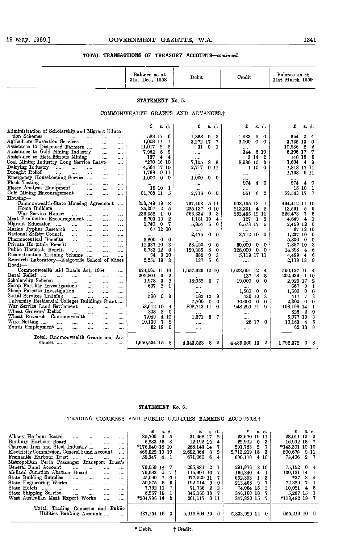|                                                                                                                    | Balance as at<br>31st Dec., 1958                  | Debit                               | Credit                                  | Balance as at<br>31st March 1959          |
|--------------------------------------------------------------------------------------------------------------------|---------------------------------------------------|-------------------------------------|-----------------------------------------|-------------------------------------------|
|                                                                                                                    | STATEMENT No. 5.                                  |                                     |                                         |                                           |
|                                                                                                                    | COMMONWEALTH GRANTS AND ADVANCES. <sup>†</sup>    |                                     |                                         |                                           |
|                                                                                                                    | £<br>s. d.                                        | £<br>8. d.                          | £<br>s. d.                              | £<br>B. d.                                |
| Administration of Scholarship and Migrant Educa-<br>tion Schemes                                                   | 588 17<br>6                                       | 1,868<br>$\mathbf 0$<br>2           | $\mathbf 0$<br>1,933<br>5               | $\boldsymbol{2}$<br>654<br>$\overline{4}$ |
| $\cdots$<br>$\cdots$<br>$\cdots$<br>$\cdots$<br>$\cdots$<br>Agriculture Extension Services<br>as a<br>$\sim 100$   | 1,008 11<br>$\mathbf{1}$                          | 3,272 17<br>7                       | 6,000<br>$\bf{0}$<br>0                  | 3,735 13<br>6                             |
| $\cdots$<br>Assistance to Distressed Farmers<br><br>$\cdots$                                                       | $\overline{\mathbf{2}}$<br>$\mathbf{2}$<br>11,017 | 31<br>$\vert 0 \rangle$<br>$\Omega$ |                                         | 10,986 2 2                                |
| Assistance to Gold Mining Industry<br>$\ddotsc$<br>                                                                | 9<br>7,962<br>- 8                                 | $\cdots$                            | 344 8 10                                | 8,306 17<br>7                             |
| Assistance to Metalliferous Mining<br>$\cdots$<br>$\cdots$                                                         | 137 4 4                                           | $\cdots$                            | 3 14<br>$\overline{\mathbf{2}}$         | 140 18 6                                  |
| Coal Mining Industry Long Service Leave<br>                                                                        | *270 16 10                                        | 8<br>- 8<br>7,105                   | 8,980 10<br>3                           | $1,604$ 4 9                               |
| Dairying Industry<br>$\sim$ $\sim$<br>$\cdots$<br>$\cdots$<br>                                                     | 4,564 17 10                                       | 2,717<br>911                        | 110<br>$\bf{0}$                         | 1,848 17 11                               |
| Drought Relief<br>$\cdots$<br>$\cdots$<br>$\cdots$<br>$\cdots$                                                     | 1,768 9 11                                        |                                     | $\cdots$                                | 1.768 9 11                                |
| Emergency Housekeeping Service<br>$\cdots$<br>                                                                     | $1,000 \quad 0 \quad 0$                           | 1,000<br>$\mathbf{0}$<br>0          | $\cdots$                                |                                           |
| Flock Testing<br>and the state<br>$\cdots$<br>$\cdots$<br>$\cdots$                                                 |                                                   | $\cdots$                            | 974<br>$\blacktriangle$<br>$\Omega$     | $974 \quad 4 \quad 0$                     |
| Fleeco Analysis Equipment<br>$\cdots$<br>$\sim$<br>$\cdots$                                                        | 15 10<br>-1                                       |                                     | $\cdots$                                | 15 10 1                                   |
| Gold Mining Encouragement<br><br>$\cdots$<br>$\cdots$<br>Housing-                                                  | 61,708 11<br>5                                    | 2,716<br>$0\quad 0$                 | 6<br>$\overline{2}$<br>551              | 59,543 17 7                               |
| Commonwealth-State Housing Agreement                                                                               | 358.749 19<br>8                                   | 767,493<br>5 11                     | 903,155 18<br>-1                        | 494,412 11 10                             |
| Home Builders<br>$\cdots$<br>$\cdots$<br><br>$\cdots$                                                              | 25,397 2<br>õ                                     | 225,137<br>0 10                     | 213,331<br>42                           | $\sqrt{5}$<br>13,591<br>- 9               |
| War Service Homes<br><br>$\cdots$<br><br>$\cdots$                                                                  | $\mathbf 0$<br>236.352 1                          | 563,334<br>6.<br>3                  | 553,455 12 11                           | 226,473<br>7.<br>-8                       |
| Meat Production Encouragement<br>$\cdots$<br>$\cdots$<br>$\cdots$                                                  | $\boldsymbol{2}$<br>5,703 13                      | 1,181 10<br>4                       | 127 1<br>-3                             | $4,649$ $4$ 1                             |
| Migrant Education<br><br>$\cdots$<br>$\cdots$<br>$\cdots$                                                          | $1.740 \quad 0$<br>-7                             | 0<br>5.854<br>6.                    | 6,573 17<br>5                           | 2.459 12 0                                |
| Murine Typhus Research<br>$\cdots$<br>$\cdots$<br>$\cdots$<br>$\cdots$                                             | 67 12 10                                          |                                     |                                         | 67 12 10                                  |
| National Safety Council<br>$\cdots$<br>$\cdots$<br>$\cdots$<br>$\cdots$                                            |                                                   | 2,475<br>0.<br>-0                   | 3,712 10 0                              | $1,237$ 10 0                              |
| Pharmaceutical Benefits<br>$\sim$ $\sim$<br>$\sim$ $\sim$<br>$\cdots$<br>$\cdots$                                  | 5,800 0<br>$\Omega$                               |                                     |                                         | 5,800 0 0                                 |
| Private Hospitals Benefit<br>$\sim$ $\sim$<br>$\cdots$<br>$\cdots$<br>$\cdots$                                     | 11,337 10<br>-3                                   | 53.450<br>$\Omega$<br>0             | 50,000<br>$\mathbf 0$<br>- 0            | 7,887 10<br>3                             |
| Public Hospitals Benefit<br>$\cdots$<br><br><br>$\cdots$                                                           | 6.783 12<br>- 6                                   | 8<br>120,385<br>0                   | $128,000 \quad 0 \quad 0$               | 14,398<br>6<br>$\overline{4}$             |
| Reconstruction Training Scheme<br>$\sim$<br>$\cdots$<br>$\cdots$<br>Research Laboratory-Kalgoorlie School of Mines | 54 6 10<br>-3                                     | 685<br>0<br>3<br>137<br>5<br>6      | 5,119 17 11                             | 4,489 4<br>6<br>2,118 13                  |
| Roads—                                                                                                             | 2.255 19                                          |                                     | $\cdots$                                | 9                                         |
| Commonwealth Aid Roads Act, 1954<br>$\cdots$                                                                       | 624,065 11 10                                     | 1,657,629 12 10                     | 1,623,691 12<br>4                       | 590,127 11 4                              |
| Rural Relief<br>$\cdots$<br>$\cdots$<br>$\cdots$<br>$\cdots$                                                       | 202,801<br>- 3<br>-2                              |                                     | 137 18<br>8                             | 202,939 1 10                              |
| Scholarship Scheme<br>$\cdots$<br>$\cdots$<br><br>$\cdots$                                                         | 3<br>1,978<br>9                                   | 18,052<br>6<br>7                    | 19,000<br>$\overline{0}$<br>$\mathbf 0$ | 2<br>2,925 17                             |
| Sheep Fertility Investigations<br>$\cdots$<br>$\cdots$<br>$\cdots$                                                 | 9<br>667<br>1                                     |                                     |                                         | 9<br>667<br>1                             |
| Sheep Parasite Investigation<br>$\cdots$<br><br>$\cdots$                                                           | $\cdots$                                          |                                     | $\mathbf{0}$<br>$\mathbf 0$<br>1,500    | 1,500<br>$\mathbf{0}$<br>0                |
| Social Services Training<br>$\cdots$<br>$\cdots$<br>$\sim$                                                         | 560<br>9<br>9                                     | 12<br>9<br>582                      | 3<br>439 10                             | 7.<br>3<br>417                            |
| University Residential Colleges Buildings Grant<br>$\cdots$                                                        |                                                   | 7,700<br>$\mathbf 0$<br>$\bf{0}$    | 10,000<br>$\mathbf{0}$<br>$\mathbf{0}$  | 2,300<br>$\mathbf{0}$<br>0                |
| War Service Land Settlement<br><br><br>$\cdots$                                                                    | 58.642 10<br>$\overline{\mathbf{4}}$              | 898,743 11<br>$\bf{0}$              | 948,299 14<br>9                         | 108,198 14 1                              |
| Wheat Growers' Relicf<br><br>$\cdots$<br>$\cdots$<br>$\cdots$                                                      | 828<br>2<br>- 0                                   | $\cdots$                            | $\cdots$                                | - 2<br>0<br>828                           |
| Wheat Research—Commonwealth<br>$\cdots$<br>                                                                        | 410<br>7.049                                      | 1,971<br>5<br>7                     |                                         | 3<br>5,077 19                             |
| Wire Netting<br>$\cdots$<br>$\cdots$<br>$\cdots$<br>$\cdots$<br>$\cdots$                                           | 7<br>10.136<br>5                                  | $\cdots$                            | $\bf{0}$<br>26 17                       | 10.163<br>$\overline{4}$<br>5             |
| Youth Employment<br><br>$\cdots$<br>                                                                               | 62 18<br>9                                        | $\cdots$                            | $\cdots$                                | 62 18<br>9                                |

#### STATEMENT No. 6.

TRADING CONCERNS AND PUBLIC UTILITIES BANKING ACCOUNTS.<sup>†</sup>

Total, Commonwealth Grants and Ad- vances .................... 1,650,534 15 <sup>8</sup> 4,343,523 <sup>8</sup> <sup>2</sup> 4,485,360 13 2 1,792,372 <sup>0</sup> <sup>8</sup>

|                                                                 | s. d.            | s. d.          | s. d.                    | $\pounds$ $\pmb{\beta}$ . d. |
|-----------------------------------------------------------------|------------------|----------------|--------------------------|------------------------------|
| Albany Harbour Board<br>$\cdots$<br><br><br>1.11                | 35,709 9<br>5.   | 31,368 17 2    | 23,670 19 11             | 28,011 12 2                  |
| Bunbury Harbour Board<br>$\cdots$<br>$\cdots$<br>               | $6.283$ 16 8     | 12,192 18 4    | 22.902 0 3               | 16,992 18 7                  |
| Charcoal Iron and Steel Industry<br>$\cdots$<br>1.111           | $*176.940$ 18 10 | 258,143 14 7   | 291.783 2                | *143,301 10 10               |
| Electricity Commission, General Fund Account<br>$\cdots$        | 469,822 19 10    | 2.682.364 8 2  | 2.713.219 18 3           | 500.678 9 11                 |
| Fremantle Harbour Trust<br>$\cdots$<br>$\cdots$<br>             | 59,347 4 1       | 671,060 6 4    | 690.119 4 10             | 78.406 2 7                   |
| Metropolitan Perth Passenger Transport Trust's                  |                  |                |                          |                              |
| General Fund Account<br>$\sim$<br>$\sim$<br>1.11<br>$\sim$      | 79,059 18 7      | 295,884 2 1    | 291.976 3 10             | 75,152 0 4                   |
| Midland Junction Abattoir Board<br>$\cdots$<br>$\cdots$         | 79.683 0 7       | 115,901 10 7   | 166.340 4 1              | 130,121 14 1                 |
| State Building Supplies<br>$\cdots$<br>$\cdots$<br>$\cdots$     | 25,090 7 0       | 677,520 11 7   | 652.393 1<br>3           | $*37$ 3 4                    |
| State Engineering Works<br>$\cdots$<br>$\cdots$<br><br>$\cdots$ | 50,875 6<br>6    | $192,014$ 9 0  | 213.468 9                | 72.329 7 1                   |
| State Hotels<br>$\cdots$<br><br><br>                            | 7.762 11         | 71,736 2 2     | 74.064 15<br>-3-         | $10,091 \pm 8$               |
| State Shipping Service<br>$\cdots$<br>$\cdots$<br><br>$\cdots$  | 5,257 15         | 346,160 18 7   | 346,160 18               | 5,257 15 1                   |
| West Australian Meat Export Works<br><br>1.1.1                  | *204,796 14      | 261,517 0 11   | 347.830 15               | $*118.482197$                |
|                                                                 |                  |                |                          |                              |
| Total, Trading Concerns and Public                              |                  |                |                          |                              |
| Utilities Banking Accounts<br>$\cdots$                          | 437,154 16<br>3. | 5,615,864 19 6 | 5,833 929 14<br>$\Omega$ | 655,219 10 9                 |
|                                                                 |                  |                |                          |                              |

\* Debit, t Credit.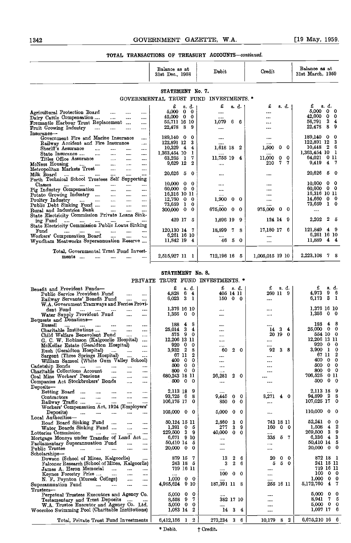|                                                                                                                                | Balance as at<br>31st Dec., 1958             | Debit                            | Credit                             | Balance as at<br>31st March, 1959                 |
|--------------------------------------------------------------------------------------------------------------------------------|----------------------------------------------|----------------------------------|------------------------------------|---------------------------------------------------|
|                                                                                                                                | STATEMENT No. 7.                             |                                  |                                    |                                                   |
|                                                                                                                                | GOVERNMENTAL TRUST FUND INVESTMENTS. *       |                                  |                                    |                                                   |
|                                                                                                                                | £<br>s d                                     | £<br>s. d.                       | £<br>s. d.                         | £<br>s. d.                                        |
| Agricultural Protection Board<br>$\cdots$<br>$\cdots$<br>                                                                      | 5.000<br>0<br>- 0                            | $\cdots$                         |                                    | 5,000<br>$\mathbf 0$<br>0                         |
| Dairy Cattle Compensation<br><br>$\cdots$                                                                                      | $42,000 \quad 0 \quad 0$                     | $\cdots$                         |                                    | 42,000<br>0<br>0                                  |
| Fremantle Harbour Trust Replacement<br>$\cdots$<br>$\cdots$                                                                    | 55,711 16 10                                 | 1,079<br>6.<br>6                 | $\cdots$                           | 56.791<br>3<br>4<br>8<br>9                        |
| Fruit Growing Industry<br>$\cdots$<br>$\cdots$<br><br>$\cdots$                                                                 | 22,478 8 9                                   | $\cdots$                         |                                    | 22,478                                            |
| Insurance—<br>Government Fire and Marine Insurance<br>$\cdots$                                                                 | 189.140 0<br>0                               | $\cdots$                         | $\cdots$                           | 189,140 0<br>0                                    |
| Railway Accident and Fire Insurance<br>$\cdots$                                                                                | 3<br>122,891 12                              |                                  |                                    | 122,891 12<br>3                                   |
| Sheriff's Assurance<br>$\ddotsc$<br><br>$\cdots$<br>$\cdots$                                                                   | $10,329$ 4<br>4                              | 2<br>1,618 18                    | 1,500<br>$0\quad 0$                | 10,448 2<br>6                                     |
| State Insurance<br>$\sim$<br>$\cdots$<br>$\cdots$<br>$\sim 0.00$                                                               | 1,363,454 10<br>1                            | $\cdots$                         |                                    | 1,363,454 10<br>- 1<br>0 11                       |
| Titles Office Assurance<br>$\sim$ - $\sim$<br>$\cdots$<br>$\cdots$                                                             | $\mathbf{1}$<br>7<br>63,265<br>9,629 12<br>2 | 11,755 19 4                      | 0<br>11.000<br>0<br>7.<br>7<br>210 | 64,021<br>- 7<br>$\overline{\mathbf{4}}$<br>9,419 |
| McNess Housing<br>and the same<br>$\cdots$<br>$\cdots$<br><br>Metropolitan Markets Trust<br>$\cdots$<br>$\cdots$<br>           |                                              |                                  |                                    |                                                   |
| Milk Board<br>$\cdots$<br>$\cdots$<br>$\cdots$<br><br>                                                                         | 20,626 5<br>0                                |                                  |                                    | 20,626<br>5<br>-0                                 |
| Perth Technical School Trustees Self Supporting                                                                                |                                              |                                  |                                    |                                                   |
| Classes<br>$\mathbf{r}_{\text{max}}$ , and $\mathbf{r}_{\text{max}}$<br>$\cdots$<br>$\cdots$<br>$\cdots$                       | $10,000 \quad 0$<br>0<br>60,000 0<br>- 0     | $\cdots$                         |                                    | 10,000<br>0<br>0<br>$0\quad 0$<br>60.000          |
| Pig Industry Compensation<br>$\sim$ $\sim$<br>$\cdots$<br>1.111<br>Potato Growing Industry<br>$\cdots$<br>$\cdots$<br>$\cdots$ | 16,316 10 11                                 | $\cdots$<br>$\cdots$             | <br>                               | 16,316 10 11                                      |
| $\sim$<br>$\cdots$<br>                                                                                                         | 12,760 0<br>-0                               | 1,900<br>0<br>0                  | $\cdots$                           | 14,660<br>00                                      |
| Public Debt Sinking Fund<br>$\sim 10^{-1}$<br>$\sim$ - $\sim$<br>$\cdots$                                                      | 73.659 1<br>0                                |                                  |                                    | 73,659<br>$1\quad0$                               |
| Rural and Industries Bank<br>$\cdots$<br>$\cdots$<br>$\cdots$                                                                  | 300,000 0<br>0                               | 675,000<br>0<br>0                | 0<br>975,000<br>0                  | $\cdots$                                          |
| State Electricity Commission Private Loans Sink-                                                                               | 429 17<br>-5                                 | 1,896 19<br>- 9                  | 124 14 9                           | 2<br>2,202<br>5                                   |
| ing Fund<br>$\sim 10^{-1}$<br>$\cdots$<br>$\cdots$<br>State Electricity Commission Public Loans Sinking                        |                                              |                                  |                                    |                                                   |
| Fund<br>$\cdots$<br><br>$\cdots$<br>$\cdots$<br>$\cdots$<br>$\cdots$                                                           | 120,130 14 7                                 | 18,899<br>7<br>8                 | 17,180 17 6                        | 121,849<br>49                                     |
| Workers' Compensation Board<br>$\cdots$<br><br>1.11                                                                            | 6,261 16 10                                  |                                  |                                    | 6.261 16 10                                       |
| Wyndham Meatworks Superannuation Reserve                                                                                       | 11.842 19 4                                  | 46<br>- 5<br>- 0                 | $\cdots$                           | 11,889 4 4                                        |
| Total, Governmental Trust Fund Invest-                                                                                         |                                              |                                  |                                    |                                                   |
| ments<br>$\cdots$                                                                                                              | 2,515,927 11 1                               | 712,196 16 5                     | 1,005,015 19 10                    | 2,223,108 7<br>8                                  |
|                                                                                                                                |                                              |                                  |                                    |                                                   |
|                                                                                                                                | STATEMENT No. 8.                             |                                  |                                    |                                                   |
|                                                                                                                                | PRIVATE TRUST FUND INVESTMENTS. *            |                                  |                                    |                                                   |
|                                                                                                                                |                                              |                                  |                                    |                                                   |
| Benefit and Provident Funds-<br>Public Service Provident Fund                                                                  | £<br>s d.<br>4,828<br>6<br>$\overline{4}$    | $\mathfrak{L}$ s.d.<br>405 14 11 | £<br>s d.<br>260 11 9              | £<br>s. d.<br>4,973<br>-9-<br>-6                  |
| <br>Railway Servants' Benefit Fund<br><br>                                                                                     | - 3<br>6,023<br>1                            | 150 0 0                          | $\cdots$                           | 6,173<br>-3<br>$\mathbf{1}$                       |
| W.A. Government Tramways and Ferries Provi-                                                                                    |                                              |                                  |                                    |                                                   |
| dent Fund<br>$\cdots$<br>$\cdots$                                                                                              | 1,376 16 10                                  | $\cdots$                         | $\cdots$                           | 1,376 16 10                                       |
| Water Supply Provident Fund<br>$\cdots$<br>$\cdots$                                                                            | $1,356$ 0<br>- 0                             |                                  | $\cdots$                           | $1,356$ 0 0                                       |
| Bequests and Donations-<br><b>Bussell</b><br>$\sim$<br>$\cdots$<br>$\cdots$                                                    | 48<br>188                                    |                                  | $\cdots$                           | 188<br>4<br>8                                     |
| Charitable Institutions<br>$\cdots$<br>$\cdots$<br>$\cdots$                                                                    | 25,014 3 4                                   |                                  | 14 3<br>$\overline{\mathbf{4}}$    | 25,000<br>$\bullet$<br>0                          |
| Child Welfare Benevolent Fund<br>$\cdots$                                                                                      | 575 9 0                                      |                                  | 20 19<br>0                         | 554 10 0                                          |
| G. C. W. Robinson (Kalgoorlie Hospital)<br>                                                                                    | 12,206 13 11<br>920<br>$0\quad 0$            | $\cdots$                         |                                    | 12,206 13 11<br>920 0<br>0                        |
| McKellar Estate (Geraldton Hospital)<br>$\cdots$<br>Rush (Geraldton Hospital)                                                  | 3,932 2 8                                    | <br>60<br>$\boldsymbol{2}$       | <br>92 3 8                         | 3,900 1 0                                         |
| $\cdots$<br>$\cdots$<br><br>Sargent (Three Springs Hospital)<br>$\cdots$                                                       | 67 11 2                                      |                                  |                                    | $\boldsymbol{2}$<br>67 11                         |
| William Samuel (White Gum Valley School)                                                                                       | 400 0 0                                      |                                  | $\cdots$                           | 400 0 0                                           |
| Cadetship Bonds<br>$\cdots$<br>1.1.1<br>                                                                                       | 500 0 0                                      |                                  | $\cdots$                           | 500 0 0                                           |
| Charitable Collections Account<br>$\cdots$<br>$\cdots$                                                                         | 800 0 0<br>680,243 18 11                     | $\cdots$<br>26,281<br>2<br>0     | $\cdots$                           | $0\quad 0$<br>800<br>706,525 0 11                 |
| Coal Mine Workers' Pensions<br><br>$\cdots$<br>Companies Act Stockbrokers' Bonds<br>$\cdots$<br>                               | 500 0 0                                      |                                  | <br>                               | 500 0 0                                           |
| Deposits-                                                                                                                      |                                              |                                  |                                    |                                                   |
| Betting Board<br>$\cdots$<br>$\cdots$<br><br>                                                                                  | 2,113 18<br>9                                | $\cdots$                         | $\cdots$                           | 2,113 18 9                                        |
| Contractors<br>$\cdots$<br>.<br><br><br>                                                                                       | 93,725 6<br>8                                | - 0<br>9,445<br>0                | 8,271<br>40                        | 94,899 2<br>8                                     |
| Railway Traffic<br>$\cdots$<br>$\cdots$<br>Workers' Compensation Act, 1924 (Employers'                                         | 106,175 17<br>0                              | 850<br>0<br>0                    |                                    | 107,025 17<br>0                                   |
| Deposits)<br>$\cdots$<br>$\cdots$<br><br>$\cdots$<br>                                                                          | $105,000 \quad 0 \quad 0$                    | 5,000<br>0<br>- 0                | $\cdots$                           | $110,000$ 0 0                                     |
| Local Authorities-                                                                                                             |                                              |                                  |                                    |                                                   |
| Road Board Sinking Fund<br>$\cdots$<br>$\cdots$<br>$\cdots$                                                                    | 50,124 15 11                                 | 0<br>2,860<br>3                  | 743 18 11                          | 52,241 0<br>0                                     |
| Water Boards Sinking Fund<br>$\cdots$<br>$\cdots$                                                                              | 1,391 0 5                                    | 3<br>277<br>9                    | 160.<br>$0\quad 0$                 | 2<br>$1,508$ 4<br>269,500 3<br>9                  |
| Lotteries Commission<br>$\cdots$<br>$\cdots$<br><br>$\cdots$<br>Mortgage Moneys under Transfer of Land Act                     | 229,500 3 9<br>6,671 9 10                    | 40,000<br>$0\quad 0$             | <br>335 5 7                        | 6,336 4<br>3                                      |
| Perliamentery Superannuation Fund                                                                                              | 50.410 14 5                                  | $\cdots$                         |                                    | 50.410 14 5                                       |

t Credit.  $\text{Parlim}$  Parliamentary Superannuation Fund .... .... | 50,410 14 5  $\,$  .... | 50,410 14 5  $\,$ Public Trustée • ….. …. …. …. …. | 20,000 0 0 | ….. | ….. | 20,000 0 0 Scholarships- Dowson (School of Mines, Kalgoorlie) 879 1 <sup>13</sup> <sup>2</sup> <sup>6</sup> <sup>20</sup> <sup>0</sup> <sup>0</sup> 872 18 <sup>1</sup> Falconer Research (School of Mines, Kalgoorlie) 243 1 326 <sup>550</sup> 241 15 11 James A. Heron Memorial 719 1 719 16 11 Keynes Forestry Prize ................ <sup>0</sup> <sup>0</sup> 100 0 <sup>0</sup> N. F. Poynton (Muresk College) 1,00 1,000 0 0 Superannuation Fund 4,985,624 <sup>1</sup> 187,301 11 <sup>8</sup> 255 16 11 5,172,760 4 <sup>7</sup>  $\begin{array}{|l|l|l|l|l|}\hline \texttt{Trustees}\texttt{---} & \texttt{Frestees}\texttt{---} & \texttt{Brestuse}\texttt{---} & \texttt{Brestuse}\texttt{---} & \texttt{Brestuse}\texttt{---} & \texttt{Brestuse}\texttt{---} & \texttt{Brestuse}\texttt{---} & \texttt{Brestuse}\texttt{---} & \texttt{Brestuse}\texttt{---} & \texttt{Brestuse}\texttt{---} & \texttt{Brestuse}\texttt{---} & \texttt{Brestuse}\texttt{---} & \texttt{Brestuse}\texttt{---} & \texttt{Brestuse}\texttt{---} & \texttt{B$ Total, Private Trust Fund Investments | 6,412,156 1 2 | 273,234 3 6 | 10,179 8 2 | 6,675,210 16 6

\* Debit.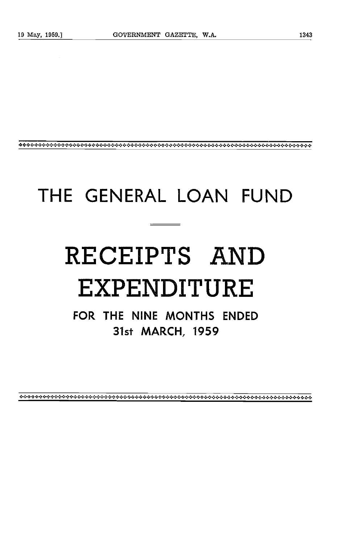# THE GENERAL LOAN FUND

# RECEIPTS AND EXPENDITURE

FOR THE NINE MONTHS ENDED 31st MARCH, 1959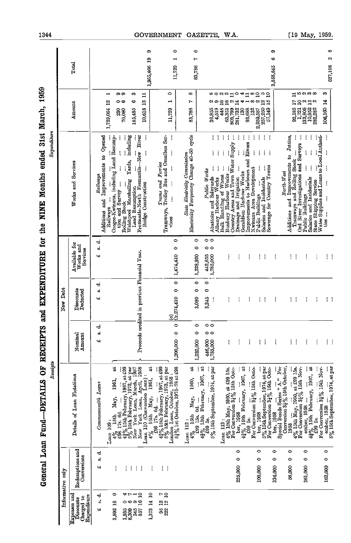|                                                        | Informative only               |                                                                                                                                                                                                                                                                                                 |                                   | New Debt                                          |                                            |                                                                                                                                                                                     |                                                                                   |                                    |
|--------------------------------------------------------|--------------------------------|-------------------------------------------------------------------------------------------------------------------------------------------------------------------------------------------------------------------------------------------------------------------------------------------------|-----------------------------------|---------------------------------------------------|--------------------------------------------|-------------------------------------------------------------------------------------------------------------------------------------------------------------------------------------|-----------------------------------------------------------------------------------|------------------------------------|
| Expenses and<br>Expenditure<br>Charged to<br>Discounts | Redemptions and<br>Conversions | Details of Loan Flotations                                                                                                                                                                                                                                                                      | Nomina<br>Amount                  | Discounts<br>Deducted                             | Available for<br>Works and<br>Services     | Works and Services                                                                                                                                                                  | Amount                                                                            | Total                              |
| ರ<br>ಉ<br>41                                           | ರ<br>w<br>ч                    | Commonwealth Loans                                                                                                                                                                                                                                                                              | Ō,<br>ч                           | ಕ<br>œÎ<br>47                                     | ರ<br>ಇ<br>47                               | Additions and Improvements to Opened<br>Railways                                                                                                                                    |                                                                                   |                                    |
| 0<br>3,892 16                                          |                                | ã<br>1961,<br>May,<br>$\begin{array}{c} \text{Lean} \ 109: \\ 4\% \ 15 \text{th} \\ \end{array}$                                                                                                                                                                                                |                                   |                                                   |                                            | Coogee-Kwinana, including Land Resump-<br>Railways                                                                                                                                  | ī<br>1,729,054 12                                                                 |                                    |
| ᆊ<br>⇔⇔<br>$1,935$<br>$8,309$                          | ŧ<br>÷                         | $\frac{4\%}{436}$ 15th May, 1961, at $\frac{436}{436}$ 17s. 6d. Marriany, 1967, at $\frac{439}{56}$ 15th February, 1973, at par New York Loan, March, 1957<br>New York Loan, March, 1967<br>New York Loan, March, 1957<br>New York Loan, April, 19                                              |                                   |                                                   |                                            | tion and Survey<br>Rolling Stock                                                                                                                                                    | ော တ<br>⇔<br><b>880<br/>080</b>                                                   |                                    |
| ຶ<br>345                                               | ÷<br>÷                         |                                                                                                                                                                                                                                                                                                 |                                   |                                                   |                                            | including<br>Fremantle-North Fremantle-New River<br>Yards,<br>Welshpool Marshalling<br>Land Resumption                                                                              | ¢,<br>¢<br>145,485                                                                |                                    |
| $\mathbf{a}$<br>1,373 14 10<br>16<br>857               | ÷                              | đ<br>Loan 110 (Conversion Loan):<br>1961,<br>May,<br>15th<br>$4\%$                                                                                                                                                                                                                              | Proceds                           | credited in previous Financial Year.              |                                            | ĵ<br>ł<br>j<br>Bridge Construction                                                                                                                                                  | $\mathbf{r}$<br>10,616 13                                                         | Φ<br>1,955,466 19                  |
|                                                        | ŧ                              |                                                                                                                                                                                                                                                                                                 |                                   |                                                   |                                            |                                                                                                                                                                                     |                                                                                   |                                    |
| 95 12 7<br>222 12 10                                   | $\mathcal{C}^{\mathcal{A}}$    | $\begin{bmatrix} 298 & 178 & 64 & \ldots & 298 & 178 & 64 & \ldots & 298 & 178 & 64 & \ldots & 298 & 178 & 64 & \ldots & 298 & 1501 & 644 & 1891 & 1967 & 464 & 596 & 1501 & 1601 & 1601 & 1600 & 1600 & 1600 & 1600 & 1600 & 1600 & 1600 & 1600 & 1600 & 1600 & 1600 & 1600 & 1600 & 1600 & 1$ |                                   |                                                   |                                            | Tramways, Trolley Bus and Omnibus Ser-<br>ļ<br>ļ<br>İ<br>ļ<br>ļ<br>V1085                                                                                                            | 0<br>⊣<br>11,729                                                                  |                                    |
|                                                        |                                |                                                                                                                                                                                                                                                                                                 | $\ddot{\phantom{0}}$<br>1,200,000 | $\circ$<br>$\bullet$<br>$\frac{(a)}{(x.274,410)}$ | $\circ$<br>$\circ$<br>1,474,410            |                                                                                                                                                                                     |                                                                                   | $\bullet$<br>ī<br>11729            |
|                                                        |                                | $\frac{\text{Ioan}}{4\%}$ 13th                                                                                                                                                                                                                                                                  |                                   |                                                   |                                            | State Electricity Commission<br>Electricity Frequency Change 40–50 cycle                                                                                                            | G<br>r<br>83,786                                                                  | r                                  |
|                                                        |                                |                                                                                                                                                                                                                                                                                                 | $\bullet$<br>$\circ$<br>1,232,000 | $\circ$<br>$\bullet$<br>3,080                     | $\circ$<br>$\circ$<br>1,228,920            |                                                                                                                                                                                     |                                                                                   | ∞<br>83,786                        |
|                                                        |                                | 5% 15th September, 1974, at par<br>$4\%$ 15th May, 1960, at $4\%$ 15th May, 1960, at $4\%$ 15th February, 1967, at $4\%$ 59 5s.                                                                                                                                                                 | $\circ$<br>446,000<br>1,785,000   | $\circ$<br>$\bullet$<br>3,345<br>ţ                | $\circ$<br>$\circ$<br>442,655<br>1,785,000 | Public Works                                                                                                                                                                        |                                                                                   |                                    |
|                                                        |                                |                                                                                                                                                                                                                                                                                                 |                                   |                                                   |                                            | ÷                                                                                                                                                                                   | 448 16<br>36,855<br>4,519                                                         |                                    |
|                                                        |                                | Loan 113 :<br>$4\%$ 15th May, 1960, at £99 15s.<br>For Conversion $3\frac{1}{4}\%$ 15th Octo-                                                                                                                                                                                                   | ŧ                                 | į                                                 | į                                          | ţ<br>ŧ<br>İ<br>Abstroirs and Saleyards<br>Mhany Harbour Wocks<br>Bulk Hardling of Wheat<br>Bulk Hardling of Wheat<br>Country Areas and Town Water Supply<br>Prainage and Irrigation | ៰឴៰៰៰៲៓៓៰៹ឣ<br>$\boldsymbol{\omega}$<br>63,351 16<br>803,799 2<br>281,732 14      |                                    |
|                                                        | $\bullet$<br>0<br>225,000      | ber, 1958<br>42% 15th February, 1967, at<br>429 5s.<br>299 5s.                                                                                                                                                                                                                                  |                                   | ŧ                                                 | ŧ                                          | ĵ<br>ŧ<br>Geraldton Harbour Works                                                                                                                                                   | 130                                                                               |                                    |
|                                                        |                                |                                                                                                                                                                                                                                                                                                 | ŧ                                 | ŧ                                                 | ŧ                                          | ĵ<br>Improvements to Harbours and Rivers                                                                                                                                            | œ<br>93,688                                                                       |                                    |
|                                                        | 0<br>0<br>100,000              | For Conversion 34% 15th Octo-<br>ber, 1958                                                                                                                                                                                                                                                      | ÷                                 | ŧ                                                 | ŧ                                          | ŧ<br>ŧ<br>ţ<br>ŧ<br>į<br>Kwinana Area Development<br>Public Buildings                                                                                                               | $\mathbf{a}$<br>2.259,587<br>132                                                  |                                    |
|                                                        |                                | $5\%$ 15th September, 1974, at par For Conversion $3\frac{1}{4}\%$ 15th Octo-                                                                                                                                                                                                                   | ÷                                 | ł                                                 | ł                                          | $\mathcal{C}^{\mathcal{A}}$<br>$\mathbb{R}^3$<br>Sewerage for Country Towns<br>Salaries and Incidentals                                                                             | $\overline{a}$<br>$\overline{1}$<br>$\overline{1}$<br>257,250                     |                                    |
|                                                        | $\circ$<br>0<br>334,000        | ber, 1968<br>Special Bonds Series "A." For<br>Conversion 34% 15th October,                                                                                                                                                                                                                      | ł                                 | ŧ                                                 | ŧ                                          |                                                                                                                                                                                     |                                                                                   | Φ<br>$\bullet$<br>3,858,645        |
|                                                        |                                |                                                                                                                                                                                                                                                                                                 |                                   |                                                   |                                            | North-West                                                                                                                                                                          |                                                                                   |                                    |
|                                                        | $\bullet$<br>0<br>56,000       | 1958                                                                                                                                                                                                                                                                                            | ŧ<br>÷                            | ŧ<br>ŧ                                            | ŧ.<br>÷                                    |                                                                                                                                                                                     | 92,185 17 11                                                                      |                                    |
|                                                        |                                |                                                                                                                                                                                                                                                                                                 |                                   |                                                   |                                            | Additions and Improvements to Jetties,<br>Tramways and Rolling Stock<br>Ord River Investigations and Surveys                                                                        | 1,721 10                                                                          |                                    |
|                                                        | 0<br>0<br>361,000              |                                                                                                                                                                                                                                                                                                 | ŧ                                 | ŧ                                                 | ŧ                                          | ţ<br>ţ<br>ţ<br>ţ<br>Salaries and Incidentals<br>Public Buildings                                                                                                                    | ယလကတ<br>$\begin{array}{rr} 133,805 & 2 \\ 10,952 & 15 \\ 282,282 & 2 \end{array}$ |                                    |
|                                                        |                                |                                                                                                                                                                                                                                                                                                 | ŧ                                 | ł                                                 | ÷                                          | State Shipping Service<br>Water Supplies and Loans to Local Authori-                                                                                                                |                                                                                   |                                    |
|                                                        | $\circ$<br>$\circ$<br>162,000  | For Conversion 31% 15th Nov-                                                                                                                                                                                                                                                                    | ŧ                                 | ŧ                                                 | ŧ.                                         | ļ<br>ì<br>į<br>j<br>į<br>$t$ ies                                                                                                                                                    | æ<br>106,160 14                                                                   |                                    |
|                                                        |                                | ember, 1958<br>$5\%$ 15th September, 1974, at par                                                                                                                                                                                                                                               | ÷                                 | ÷                                                 | J.                                         |                                                                                                                                                                                     |                                                                                   | ∞<br>$\mathbf{\hat{z}}$<br>627,108 |

General Loan Fund—DETAILS OF RECEIPTS and EXPENDITURE for the NINE Months ended 31st March, 1959

[19 May, 1959.